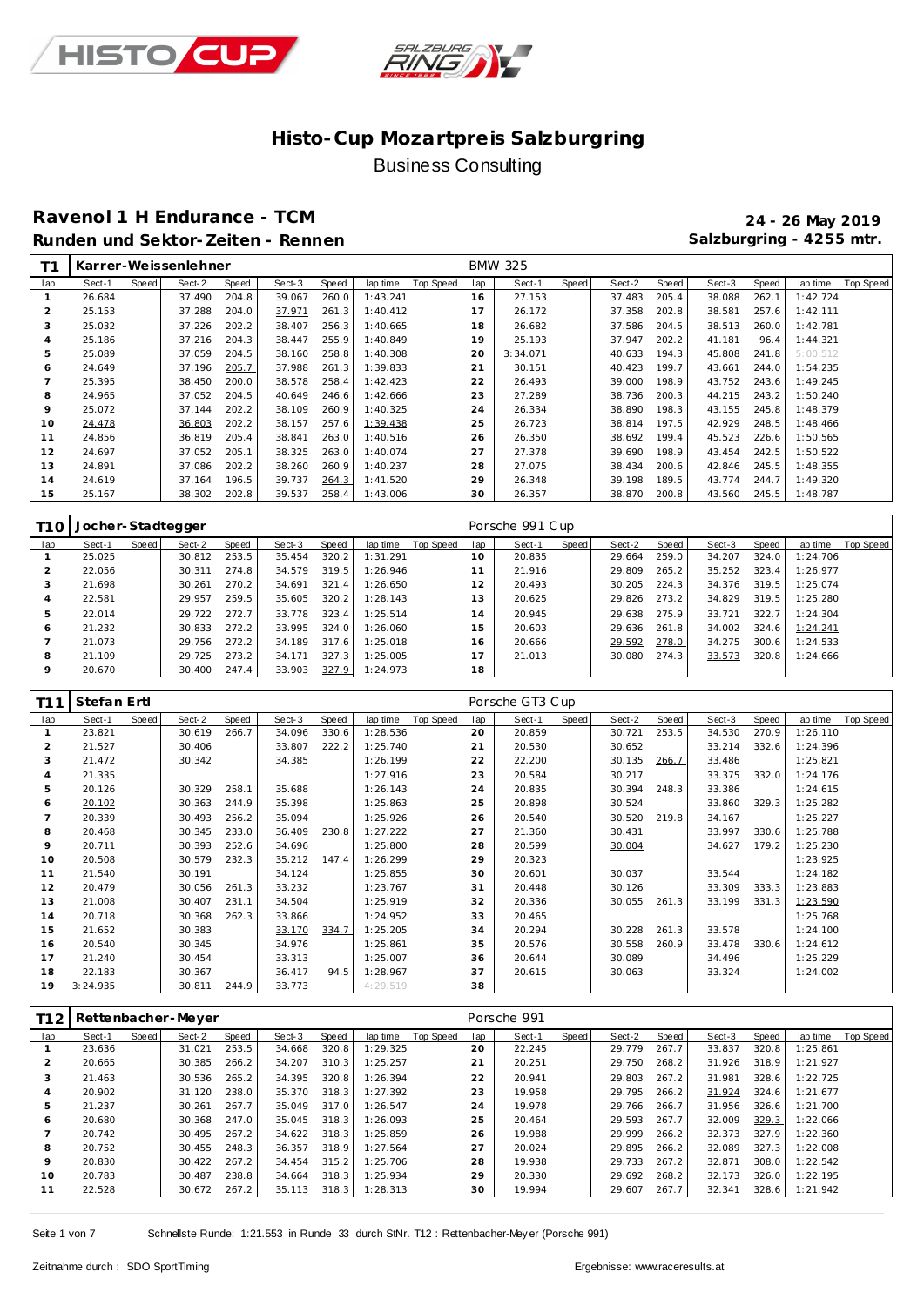



### **Ravenol 1 H Endurance - TCM 24 - 26 May 2019** Runden und Sektor-Zeiten - Rennen **Salzburgring - 4255 mtr.** Salzburgring - 4255 mtr.

| ٢1  |        |       | Karrer-Weissenlehner |       |        |       |          |           |     | <b>BMW 325</b> |       |        |       |        |       |          |           |
|-----|--------|-------|----------------------|-------|--------|-------|----------|-----------|-----|----------------|-------|--------|-------|--------|-------|----------|-----------|
| lap | Sect-1 | Speed | Sect-2               | Speed | Sect-3 | Speed | lap time | Top Speed | lap | Sect-1         | Speed | Sect-2 | Speed | Sect-3 | Speed | lap time | Top Speed |
|     | 26.684 |       | 37.490               | 204.8 | 39.067 | 260.0 | 1:43.241 |           | 16  | 27.153         |       | 37.483 | 205.4 | 38.088 | 262.1 | 1:42.724 |           |
| 2   | 25.153 |       | 37.288               | 204.0 | 37.971 | 261.3 | 1:40.412 |           | 17  | 26.172         |       | 37.358 | 202.8 | 38.581 | 257.6 | 1:42.111 |           |
| 3   | 25.032 |       | 37.226               | 202.2 | 38.407 | 256.3 | 1:40.665 |           | 18  | 26.682         |       | 37.586 | 204.5 | 38.513 | 260.0 | 1:42.781 |           |
| 4   | 25.186 |       | 37.216               | 204.3 | 38.447 | 255.9 | 1:40.849 |           | 19  | 25.193         |       | 37.947 | 202.2 | 41.181 | 96.4  | 1:44.321 |           |
| 5   | 25.089 |       | 37.059               | 204.5 | 38.160 | 258.8 | 1:40.308 |           | 20  | 3:34.071       |       | 40.633 | 194.3 | 45.808 | 241.8 | 5:00.512 |           |
| 6   | 24.649 |       | 37.196               | 205.7 | 37.988 | 261.3 | 1:39.833 |           | 21  | 30.151         |       | 40.423 | 199.7 | 43.661 | 244.0 | 1:54.235 |           |
|     | 25.395 |       | 38.450               | 200.0 | 38.578 | 258.4 | 1:42.423 |           | 22  | 26.493         |       | 39.000 | 198.9 | 43.752 | 243.6 | 1:49.245 |           |
| 8   | 24.965 |       | 37.052               | 204.5 | 40.649 | 246.6 | 1:42.666 |           | 23  | 27.289         |       | 38.736 | 200.3 | 44.215 | 243.2 | 1:50.240 |           |
| 9   | 25.072 |       | 37.144               | 202.2 | 38.109 | 260.9 | 1:40.325 |           | 24  | 26.334         |       | 38.890 | 198.3 | 43.155 | 245.8 | 1:48.379 |           |
| 10  | 24.478 |       | 36.803               | 202.2 | 38.157 | 257.6 | 1:39.438 |           | 25  | 26.723         |       | 38.814 | 197.5 | 42.929 | 248.5 | 1:48.466 |           |
|     | 24.856 |       | 36.819               | 205.4 | 38.841 | 263.0 | 1:40.516 |           | 26  | 26.350         |       | 38.692 | 199.4 | 45.523 | 226.6 | 1:50.565 |           |
| 12  | 24.697 |       | 37.052               | 205.1 | 38.325 | 263.0 | 1:40.074 |           | 27  | 27.378         |       | 39.690 | 198.9 | 43.454 | 242.5 | 1:50.522 |           |
| 13  | 24.891 |       | 37.086               | 202.2 | 38.260 | 260.9 | 1:40.237 |           | 28  | 27.075         |       | 38.434 | 200.6 | 42.846 | 245.5 | 1:48.355 |           |
| 14  | 24.619 |       | 37.164               | 196.5 | 39.737 | 264.3 | 1:41.520 |           | 29  | 26.348         |       | 39.198 | 189.5 | 43.774 | 244.7 | 1:49.320 |           |
| 15  | 25.167 |       | 38.302               | 202.8 | 39.537 | 258.4 | 1:43.006 |           | 30  | 26.357         |       | 38.870 | 200.8 | 43.560 | 245.5 | 1:48.787 |           |

| T1 O    | Jocher-Stadtegger |       |        |       |        |       |          |           |     | Porsche 991 Cup |       |        |       |        |       |          |           |
|---------|-------------------|-------|--------|-------|--------|-------|----------|-----------|-----|-----------------|-------|--------|-------|--------|-------|----------|-----------|
| lap     | Sect-1            | Speed | Sect-2 | Speed | Sect-3 | Speed | lap time | Top Speed | lap | Sect-1          | Speed | Sect-2 | Speed | Sect-3 | Speed | lap time | Top Speed |
|         | 25.025            |       | 30.812 | 253.5 | 35.454 | 320.2 | 1:31.291 |           | 10  | 20.835          |       | 29.664 | 259.0 | 34.207 | 324.0 | 1:24.706 |           |
|         | 22.056            |       | 30.311 | 274.8 | 34.579 | 319.5 | 1:26.946 |           |     | 21.916          |       | 29.809 | 265.2 | 35.252 | 323.4 | 1:26.977 |           |
|         | 21.698            |       | 30.261 | 270.2 | 34.691 | 321.4 | 1:26.650 |           | 12  | 20.493          |       | 30.205 | 224.3 | 34.376 | 319.5 | 1:25.074 |           |
|         | 22.581            |       | 29.957 | 259.5 | 35.605 | 320.2 | 1:28.143 |           | 13  | 20.625          |       | 29.826 | 273.2 | 34.829 | 319.5 | 1:25.280 |           |
| ь       | 22.014            |       | 29.722 | 272.7 | 33.778 | 323.4 | 1:25.514 |           | 14  | 20.945          |       | 29.638 | 275.9 | 33.721 | 322.7 | 1:24.304 |           |
| 6       | 21.232            |       | 30.833 | 272.2 | 33.995 | 324.0 | 1:26.060 |           | 15  | 20.603          |       | 29.636 | 261.8 | 34.002 | 324.6 | 1:24.241 |           |
|         | 21.073            |       | 29.756 | 272.2 | 34.189 | 317.6 | 1:25.018 |           | 16  | 20.666          |       | 29.592 | 278.0 | 34.275 | 300.6 | 1:24.533 |           |
| 8       | 21.109            |       | 29.725 | 273.2 | 34.171 | 327.3 | 1:25.005 |           |     | 21.013          |       | 30.080 | 274.3 | 33.573 | 320.8 | 1:24.666 |           |
| $\circ$ | 20.670            |       | 30.400 | 247.4 | 33.903 | 327.9 | 1:24.973 |           | 18  |                 |       |        |       |        |       |          |           |

| T11            | Stefan Ertl |       |        |       |        |       |          |           |     | Porsche GT3 Cup |       |        |       |        |       |          |           |
|----------------|-------------|-------|--------|-------|--------|-------|----------|-----------|-----|-----------------|-------|--------|-------|--------|-------|----------|-----------|
| lap            | Sect-1      | Speed | Sect-2 | Speed | Sect-3 | Speed | lap time | Top Speed | lap | Sect-1          | Speed | Sect-2 | Speed | Sect-3 | Speed | lap time | Top Speed |
| $\mathbf{1}$   | 23.821      |       | 30.619 | 266.7 | 34.096 | 330.6 | 1:28.536 |           | 20  | 20.859          |       | 30.721 | 253.5 | 34.530 | 270.9 | 1:26.110 |           |
| $\overline{2}$ | 21.527      |       | 30.406 |       | 33.807 | 222.2 | 1:25.740 |           | 21  | 20.530          |       | 30.652 |       | 33.214 | 332.6 | 1:24.396 |           |
| 3              | 21.472      |       | 30.342 |       | 34.385 |       | 1:26.199 |           | 22  | 22.200          |       | 30.135 | 266.7 | 33.486 |       | 1:25.821 |           |
| $\overline{4}$ | 21.335      |       |        |       |        |       | 1:27.916 |           | 23  | 20.584          |       | 30.217 |       | 33.375 | 332.0 | 1:24.176 |           |
| 5              | 20.126      |       | 30.329 | 258.1 | 35.688 |       | 1:26.143 |           | 24  | 20.835          |       | 30.394 | 248.3 | 33.386 |       | 1:24.615 |           |
| 6              | 20.102      |       | 30.363 | 244.9 | 35.398 |       | 1:25.863 |           | 25  | 20.898          |       | 30.524 |       | 33.860 | 329.3 | 1:25.282 |           |
|                | 20.339      |       | 30.493 | 256.2 | 35.094 |       | 1:25.926 |           | 26  | 20.540          |       | 30.520 | 219.8 | 34.167 |       | 1:25.227 |           |
| 8              | 20.468      |       | 30.345 | 233.0 | 36.409 | 230.8 | 1:27.222 |           | 27  | 21.360          |       | 30.431 |       | 33.997 | 330.6 | 1:25.788 |           |
| 9              | 20.711      |       | 30.393 | 252.6 | 34.696 |       | 1:25.800 |           | 28  | 20.599          |       | 30.004 |       | 34.627 | 179.2 | 1:25.230 |           |
| 10             | 20.508      |       | 30.579 | 232.3 | 35.212 | 147.4 | 1:26.299 |           | 29  | 20.323          |       |        |       |        |       | 1:23.925 |           |
| 11             | 21.540      |       | 30.191 |       | 34.124 |       | 1:25.855 |           | 30  | 20.601          |       | 30.037 |       | 33.544 |       | 1:24.182 |           |
| 12             | 20.479      |       | 30.056 | 261.3 | 33.232 |       | 1:23.767 |           | 31  | 20.448          |       | 30.126 |       | 33.309 | 333.3 | 1:23.883 |           |
| 13             | 21.008      |       | 30.407 | 231.1 | 34.504 |       | 1:25.919 |           | 32  | 20.336          |       | 30.055 | 261.3 | 33.199 | 331.3 | 1:23.590 |           |
| 14             | 20.718      |       | 30.368 | 262.3 | 33.866 |       | 1:24.952 |           | 33  | 20.465          |       |        |       |        |       | 1:25.768 |           |
| 15             | 21.652      |       | 30.383 |       | 33.170 | 334.7 | 1:25.205 |           | 34  | 20.294          |       | 30.228 | 261.3 | 33.578 |       | 1:24.100 |           |
| 16             | 20.540      |       | 30.345 |       | 34.976 |       | 1:25.861 |           | 35  | 20.576          |       | 30.558 | 260.9 | 33.478 | 330.6 | 1:24.612 |           |
| 17             | 21.240      |       | 30.454 |       | 33.313 |       | 1:25.007 |           | 36  | 20.644          |       | 30.089 |       | 34.496 |       | 1:25.229 |           |
| 18             | 22.183      |       | 30.367 |       | 36.417 | 94.5  | 1:28.967 |           | 37  | 20.615          |       | 30.063 |       | 33.324 |       | 1:24.002 |           |
| 19             | 3:24.935    |       | 30.811 | 244.9 | 33.773 |       | 4:29.519 |           | 38  |                 |       |        |       |        |       |          |           |

| T12            |        |       | Rettenbacher-Meyer |       |        |       |          |           |             | Porsche 991 |       |        |       |        |       |          |           |
|----------------|--------|-------|--------------------|-------|--------|-------|----------|-----------|-------------|-------------|-------|--------|-------|--------|-------|----------|-----------|
| lap            | Sect-1 | Speed | Sect-2             | Speed | Sect-3 | Speed | lap time | Top Speed | lap         | Sect-1      | Speed | Sect-2 | Speed | Sect-3 | Speed | lap time | Top Speed |
|                | 23.636 |       | 31.021             | 253.5 | 34.668 | 320.8 | 1:29.325 |           | 20          | 22.245      |       | 29.779 | 267.7 | 33.837 | 320.8 | 1:25.861 |           |
| $\overline{2}$ | 20.665 |       | 30.385             | 266.2 | 34.207 | 310.3 | 1:25.257 |           | $2^{\circ}$ | 20.251      |       | 29.750 | 268.2 | 31.926 | 318.9 | 1:21.927 |           |
| 3              | 21.463 |       | 30.536             | 265.2 | 34.395 | 320.8 | 1:26.394 |           | 22          | 20.941      |       | 29.803 | 267.2 | 31.981 | 328.6 | 1:22.725 |           |
| 4              | 20.902 |       | 31.120             | 238.0 | 35.370 | 318.3 | 1:27.392 |           | 23          | 19.958      |       | 29.795 | 266.2 | 31.924 | 324.6 | 1:21.677 |           |
| 5              | 21.237 |       | 30.261             | 267.7 | 35.049 | 317.0 | 1:26.547 |           | 24          | 19.978      |       | 29.766 | 266.7 | 31.956 | 326.6 | 1:21.700 |           |
| 6              | 20.680 |       | 30.368             | 247.0 | 35.045 | 318.3 | 1:26.093 |           | 25          | 20.464      |       | 29.593 | 267.7 | 32.009 | 329.3 | 1:22.066 |           |
|                | 20.742 |       | 30.495             | 267.2 | 34.622 | 318.3 | 1:25.859 |           | 26          | 19.988      |       | 29.999 | 266.2 | 32.373 | 327.9 | 1:22.360 |           |
| 8              | 20.752 |       | 30.455             | 248.3 | 36.357 | 318.9 | 1:27.564 |           | 27          | 20.024      |       | 29.895 | 266.2 | 32.089 | 327.3 | 1:22.008 |           |
| 9              | 20.830 |       | 30.422             | 267.2 | 34.454 | 315.2 | 1:25.706 |           | 28          | 19.938      |       | 29.733 | 267.2 | 32.871 | 308.0 | 1:22.542 |           |
| 10             | 20.783 |       | 30.487             | 238.8 | 34.664 | 318.3 | 1:25.934 |           | 29          | 20.330      |       | 29.692 | 268.2 | 32.173 | 326.0 | 1:22.195 |           |
|                | 22.528 |       | 30.672             | 267.2 | 35.113 | 318.3 | 1:28.313 |           | 30          | 19.994      |       | 29.607 | 267.7 | 32.341 | 328.6 | 1:21.942 |           |

Seite 1 von 7 Schnellste Runde: 1:21.553 in Runde 33 durch StNr. T12 : Rettenbacher-Mey er (Porsche 991)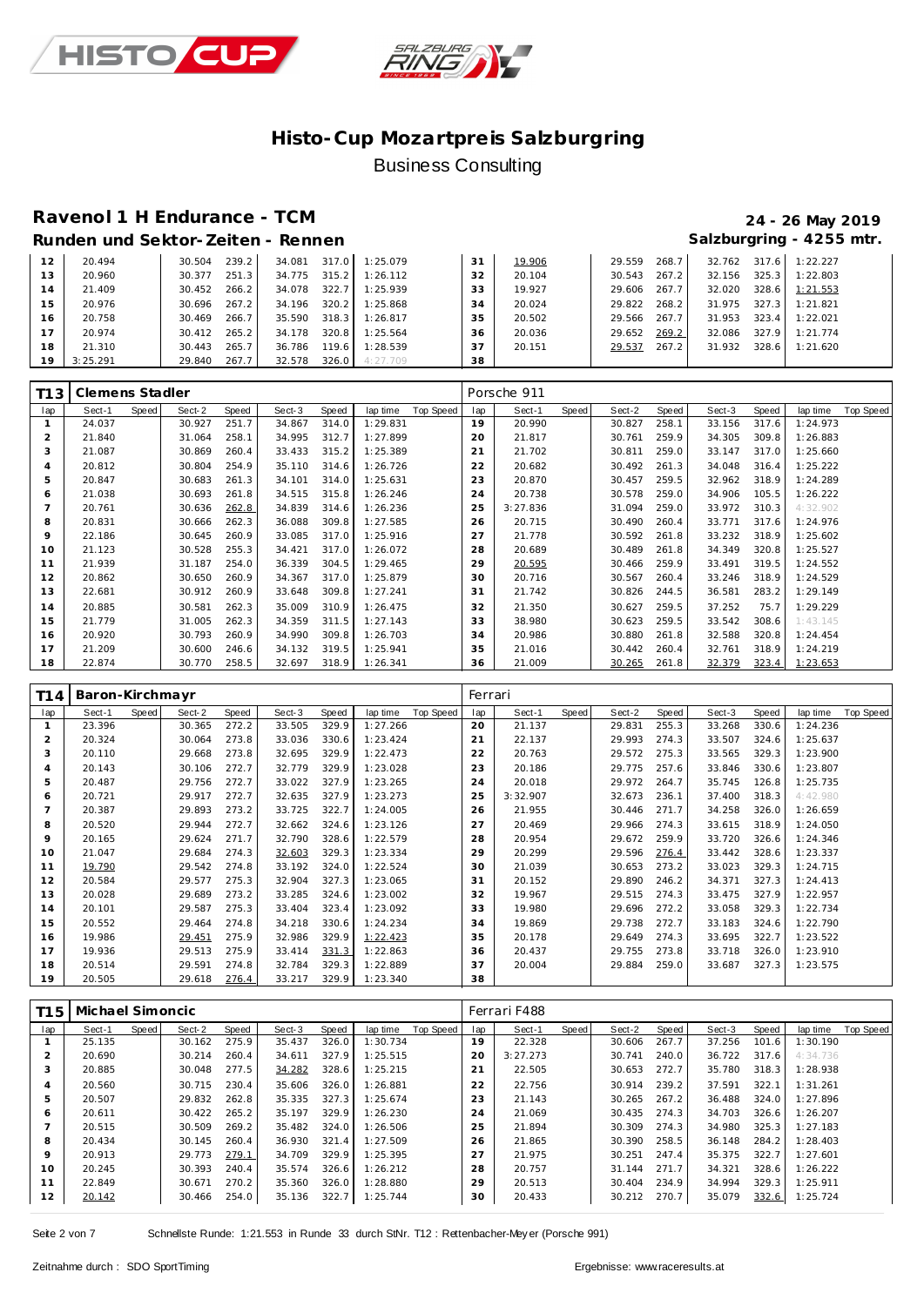



# **Ravenol 1 H Endurance - TCM 24 - 26 May 2019**

#### Runden und Sektor-Zeiten - Rennen **Salzburgring - 4255 mtr.** Salzburgring - 4255 mtr.

| 12 | 20.494   | 239.2<br>30.504 | 34.081          | $317.0$ 1:25.079 | 31 | 19.906 | 29.559<br>268.7 | 32.762<br>317.6 | 1:22.227 |
|----|----------|-----------------|-----------------|------------------|----|--------|-----------------|-----------------|----------|
| 13 | 20.960   | 251.3<br>30.377 | 315.2<br>34.775 | 1:26.112         | 32 | 20.104 | 267.2<br>30.543 | 325.3<br>32.156 | 1:22.803 |
| 14 | 21.409   | 266.2<br>30.452 | 322.7<br>34.078 | 1:25.939         | 33 | 19.927 | 267.7<br>29.606 | 328.6<br>32.020 | 1:21.553 |
| 15 | 20.976   | 267.2<br>30.696 | 320.2<br>34.196 | 1:25.868         | 34 | 20.024 | 268.2<br>29.822 | 327.3<br>31.975 | 1:21.821 |
| 16 | 20.758   | 266.7<br>30.469 | 318.3<br>35.590 | 1:26.817         | 35 | 20.502 | 267.7<br>29.566 | 31.953<br>323.4 | 1:22.021 |
| 17 | 20.974   | 265.2<br>30.412 | 320.8<br>34.178 | 1:25.564         | 36 | 20.036 | 269.2<br>29.652 | 327.9<br>32.086 | 1:21.774 |
| 18 | 21.310   | 265.7<br>30.443 | 36.786<br>119.6 | 1:28.539         | 37 | 20.151 | 267.2<br>29.537 | 328.6<br>31.932 | 1:21.620 |
| 19 | 3:25.291 | 267.7<br>29.840 | 32.578          | 326.0 4:27.709   | 38 |        |                 |                 |          |

| T <sub>13</sub> | Clemens Stadler |       |        |       |        |       |          |           |                | Porsche 911 |       |        |       |        |       |          |           |
|-----------------|-----------------|-------|--------|-------|--------|-------|----------|-----------|----------------|-------------|-------|--------|-------|--------|-------|----------|-----------|
| lap             | Sect-1          | Speed | Sect-2 | Speed | Sect-3 | Speed | lap time | Top Speed | lap            | Sect-1      | Speed | Sect-2 | Speed | Sect-3 | Speed | lap time | Top Speed |
|                 | 24.037          |       | 30.927 | 251.7 | 34.867 | 314.0 | 1:29.831 |           | 19             | 20.990      |       | 30.827 | 258.1 | 33.156 | 317.6 | 1:24.973 |           |
|                 | 21.840          |       | 31.064 | 258.1 | 34.995 | 312.7 | 1:27.899 |           | 20             | 21.817      |       | 30.761 | 259.9 | 34.305 | 309.8 | 1:26.883 |           |
| 3               | 21.087          |       | 30.869 | 260.4 | 33.433 | 315.2 | 1:25.389 |           | 2 <sup>1</sup> | 21.702      |       | 30.811 | 259.0 | 33.147 | 317.0 | 1:25.660 |           |
| 4               | 20.812          |       | 30.804 | 254.9 | 35.110 | 314.6 | 1:26.726 |           | 22             | 20.682      |       | 30.492 | 261.3 | 34.048 | 316.4 | 1:25.222 |           |
| 5               | 20.847          |       | 30.683 | 261.3 | 34.101 | 314.0 | 1:25.631 |           | 23             | 20.870      |       | 30.457 | 259.5 | 32.962 | 318.9 | 1:24.289 |           |
| 6               | 21.038          |       | 30.693 | 261.8 | 34.515 | 315.8 | 1:26.246 |           | 24             | 20.738      |       | 30.578 | 259.0 | 34.906 | 105.5 | 1:26.222 |           |
|                 | 20.761          |       | 30.636 | 262.8 | 34.839 | 314.6 | 1:26.236 |           | 25             | 3:27.836    |       | 31.094 | 259.0 | 33.972 | 310.3 | 4:32.902 |           |
| 8               | 20.831          |       | 30.666 | 262.3 | 36.088 | 309.8 | 1:27.585 |           | 26             | 20.715      |       | 30.490 | 260.4 | 33.771 | 317.6 | 1:24.976 |           |
| 9               | 22.186          |       | 30.645 | 260.9 | 33.085 | 317.0 | 1:25.916 |           | 27             | 21.778      |       | 30.592 | 261.8 | 33.232 | 318.9 | 1:25.602 |           |
| 10              | 21.123          |       | 30.528 | 255.3 | 34.421 | 317.0 | 1:26.072 |           | 28             | 20.689      |       | 30.489 | 261.8 | 34.349 | 320.8 | 1:25.527 |           |
| 11              | 21.939          |       | 31.187 | 254.0 | 36.339 | 304.5 | 1:29.465 |           | 29             | 20.595      |       | 30.466 | 259.9 | 33.491 | 319.5 | 1:24.552 |           |
| 12              | 20.862          |       | 30.650 | 260.9 | 34.367 | 317.0 | 1:25.879 |           | 30             | 20.716      |       | 30.567 | 260.4 | 33.246 | 318.9 | 1:24.529 |           |
| 13              | 22.681          |       | 30.912 | 260.9 | 33.648 | 309.8 | 1:27.241 |           | 31             | 21.742      |       | 30.826 | 244.5 | 36.581 | 283.2 | 1:29.149 |           |
| 14              | 20.885          |       | 30.581 | 262.3 | 35.009 | 310.9 | 1:26.475 |           | 32             | 21.350      |       | 30.627 | 259.5 | 37.252 | 75.7  | 1:29.229 |           |
| 15              | 21.779          |       | 31.005 | 262.3 | 34.359 | 311.5 | 1:27.143 |           | 33             | 38.980      |       | 30.623 | 259.5 | 33.542 | 308.6 | 1:43.145 |           |
| 16              | 20.920          |       | 30.793 | 260.9 | 34.990 | 309.8 | 1:26.703 |           | 34             | 20.986      |       | 30.880 | 261.8 | 32.588 | 320.8 | 1:24.454 |           |
| 17              | 21.209          |       | 30.600 | 246.6 | 34.132 | 319.5 | 1:25.941 |           | 35             | 21.016      |       | 30.442 | 260.4 | 32.761 | 318.9 | 1:24.219 |           |
| 18              | 22.874          |       | 30.770 | 258.5 | 32.697 | 318.9 | 1:26.341 |           | 36             | 21.009      |       | 30.265 | 261.8 | 32.379 | 323.4 | 1:23.653 |           |

| T <sub>14</sub> | Baron-Kirchmayr |       |        |       |        |       |          |           | Ferrari |          |       |        |       |        |       |          |           |
|-----------------|-----------------|-------|--------|-------|--------|-------|----------|-----------|---------|----------|-------|--------|-------|--------|-------|----------|-----------|
| lap             | Sect-1          | Speed | Sect-2 | Speed | Sect-3 | Speed | lap time | Top Speed | lap     | Sect-1   | Speed | Sect-2 | Speed | Sect-3 | Speed | lap time | Top Speed |
|                 | 23.396          |       | 30.365 | 272.2 | 33.505 | 329.9 | 1:27.266 |           | 20      | 21.137   |       | 29.831 | 255.3 | 33.268 | 330.6 | 1:24.236 |           |
| $\overline{2}$  | 20.324          |       | 30.064 | 273.8 | 33.036 | 330.6 | 1:23.424 |           | 21      | 22.137   |       | 29.993 | 274.3 | 33.507 | 324.6 | 1:25.637 |           |
| 3               | 20.110          |       | 29.668 | 273.8 | 32.695 | 329.9 | 1:22.473 |           | 22      | 20.763   |       | 29.572 | 275.3 | 33.565 | 329.3 | 1:23.900 |           |
| 4               | 20.143          |       | 30.106 | 272.7 | 32.779 | 329.9 | 1:23.028 |           | 23      | 20.186   |       | 29.775 | 257.6 | 33.846 | 330.6 | 1:23.807 |           |
| 5               | 20.487          |       | 29.756 | 272.7 | 33.022 | 327.9 | 1:23.265 |           | 24      | 20.018   |       | 29.972 | 264.7 | 35.745 | 126.8 | 1:25.735 |           |
| 6               | 20.721          |       | 29.917 | 272.7 | 32.635 | 327.9 | 1:23.273 |           | 25      | 3:32.907 |       | 32.673 | 236.1 | 37.400 | 318.3 | 4:42.980 |           |
|                 | 20.387          |       | 29.893 | 273.2 | 33.725 | 322.7 | 1:24.005 |           | 26      | 21.955   |       | 30.446 | 271.7 | 34.258 | 326.0 | 1:26.659 |           |
| 8               | 20.520          |       | 29.944 | 272.7 | 32.662 | 324.6 | 1:23.126 |           | 27      | 20.469   |       | 29.966 | 274.3 | 33.615 | 318.9 | 1:24.050 |           |
| 9               | 20.165          |       | 29.624 | 271.7 | 32.790 | 328.6 | 1:22.579 |           | 28      | 20.954   |       | 29.672 | 259.9 | 33.720 | 326.6 | 1:24.346 |           |
| 10              | 21.047          |       | 29.684 | 274.3 | 32.603 | 329.3 | 1:23.334 |           | 29      | 20.299   |       | 29.596 | 276.4 | 33.442 | 328.6 | 1:23.337 |           |
| 11              | 19.790          |       | 29.542 | 274.8 | 33.192 | 324.0 | 1:22.524 |           | 30      | 21.039   |       | 30.653 | 273.2 | 33.023 | 329.3 | 1:24.715 |           |
| 12              | 20.584          |       | 29.577 | 275.3 | 32.904 | 327.3 | 1:23.065 |           | 31      | 20.152   |       | 29.890 | 246.2 | 34.371 | 327.3 | 1:24.413 |           |
| 13              | 20.028          |       | 29.689 | 273.2 | 33.285 | 324.6 | 1:23.002 |           | 32      | 19.967   |       | 29.515 | 274.3 | 33.475 | 327.9 | 1:22.957 |           |
| 14              | 20.101          |       | 29.587 | 275.3 | 33.404 | 323.4 | 1:23.092 |           | 33      | 19.980   |       | 29.696 | 272.2 | 33.058 | 329.3 | 1:22.734 |           |
| 15              | 20.552          |       | 29.464 | 274.8 | 34.218 | 330.6 | 1:24.234 |           | 34      | 19.869   |       | 29.738 | 272.7 | 33.183 | 324.6 | 1:22.790 |           |
| 16              | 19.986          |       | 29.451 | 275.9 | 32.986 | 329.9 | 1:22.423 |           | 35      | 20.178   |       | 29.649 | 274.3 | 33.695 | 322.7 | 1:23.522 |           |
| 17              | 19.936          |       | 29.513 | 275.9 | 33.414 | 331.3 | 1:22.863 |           | 36      | 20.437   |       | 29.755 | 273.8 | 33.718 | 326.0 | 1:23.910 |           |
| 18              | 20.514          |       | 29.591 | 274.8 | 32.784 | 329.3 | 1:22.889 |           | 37      | 20.004   |       | 29.884 | 259.0 | 33.687 | 327.3 | 1:23.575 |           |
| 19              | 20.505          |       | 29.618 | 276.4 | 33.217 | 329.9 | 1:23.340 |           | 38      |          |       |        |       |        |       |          |           |

| T1 5 | Michael Simoncic |       |        |       |        |       |          |           |     | Ferrari F488 |       |        |       |        |       |          |           |
|------|------------------|-------|--------|-------|--------|-------|----------|-----------|-----|--------------|-------|--------|-------|--------|-------|----------|-----------|
| lap  | Sect-1           | Speed | Sect-2 | Speed | Sect-3 | Speed | lap time | Top Speed | lap | Sect-1       | Speed | Sect-2 | Speed | Sect-3 | Speed | lap time | Top Speed |
|      | 25.135           |       | 30.162 | 275.9 | 35.437 | 326.0 | 1:30.734 |           | 19  | 22.328       |       | 30.606 | 267.7 | 37.256 | 101.6 | 1:30.190 |           |
| 2    | 20.690           |       | 30.214 | 260.4 | 34.611 | 327.9 | 1:25.515 |           | 20  | 3:27.273     |       | 30.741 | 240.0 | 36.722 | 317.6 | 4:34.736 |           |
| 3    | 20.885           |       | 30.048 | 277.5 | 34.282 | 328.6 | 1:25.215 |           | 21  | 22.505       |       | 30.653 | 272.7 | 35.780 | 318.3 | 1:28.938 |           |
| 4    | 20.560           |       | 30.715 | 230.4 | 35.606 | 326.0 | 1:26.881 |           | 22  | 22.756       |       | 30.914 | 239.2 | 37.591 | 322.1 | 1:31.261 |           |
| 5    | 20.507           |       | 29.832 | 262.8 | 35.335 | 327.3 | 1:25.674 |           | 23  | 21.143       |       | 30.265 | 267.2 | 36.488 | 324.0 | 1:27.896 |           |
| 6    | 20.611           |       | 30.422 | 265.2 | 35.197 | 329.9 | 1:26.230 |           | 24  | 21.069       |       | 30.435 | 274.3 | 34.703 | 326.6 | 1:26.207 |           |
|      | 20.515           |       | 30.509 | 269.2 | 35.482 | 324.0 | 1:26.506 |           | 25  | 21.894       |       | 30.309 | 274.3 | 34.980 | 325.3 | 1:27.183 |           |
| 8    | 20.434           |       | 30.145 | 260.4 | 36.930 | 321.4 | 1:27.509 |           | 26  | 21.865       |       | 30.390 | 258.5 | 36.148 | 284.2 | 1:28.403 |           |
| 9    | 20.913           |       | 29.773 | 279.1 | 34.709 | 329.9 | 1:25.395 |           | 27  | 21.975       |       | 30.251 | 247.4 | 35.375 | 322.7 | 1:27.601 |           |
| 10   | 20.245           |       | 30.393 | 240.4 | 35.574 | 326.6 | 1:26.212 |           | 28  | 20.757       |       | 31.144 | 271.7 | 34.321 | 328.6 | 1:26.222 |           |
| 11   | 22.849           |       | 30.671 | 270.2 | 35.360 | 326.0 | 1:28.880 |           | 29  | 20.513       |       | 30.404 | 234.9 | 34.994 | 329.3 | 1:25.911 |           |
| 12   | 20.142           |       | 30.466 | 254.0 | 35.136 | 322.7 | 1:25.744 |           | 30  | 20.433       |       | 30.212 | 270.7 | 35.079 | 332.6 | 1:25.724 |           |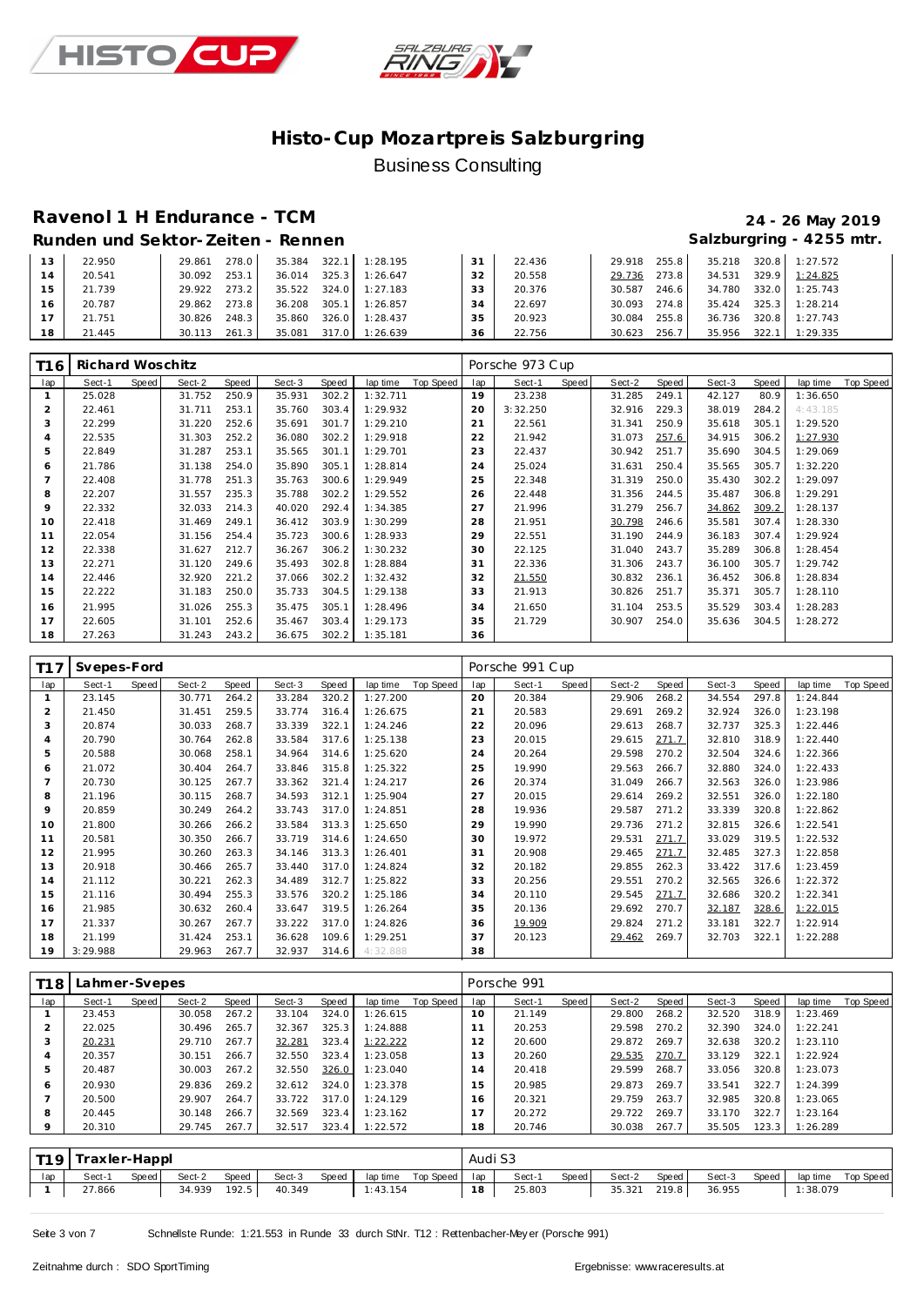



# **Ravenol 1 H Endurance - TCM 24 - 26 May 2019**

# Salzburgring - 4255 mtr.

|  | Runden und Sektor-Zeiten - Rennen |  |
|--|-----------------------------------|--|

| 13 | 22.950 | 278.0<br>29.861 | 35.384 322.1 1:28.195 |                | 31 | 22.436 | 29.918 255.8    | 35.218 320.8 1:27.572 |                |
|----|--------|-----------------|-----------------------|----------------|----|--------|-----------------|-----------------------|----------------|
| 14 | 20.541 | 253.1<br>30.092 | 36.014                | 325.3 1:26.647 | 32 | 20.558 | 273.8<br>29.736 | 34.531                | 329.9 1:24.825 |
| 15 | 21.739 | 273.2<br>29.922 | 35.522 324.0 1:27.183 |                | 33 | 20.376 | 30.587<br>246.6 | 34.780                | 332.0 1:25.743 |
| 16 | 20.787 | 29.862 273.8    | 36.208 305.1 1:26.857 |                | 34 | 22.697 | 30.093 274.8    | 35.424 325.3 1:28.214 |                |
|    | 21.751 | 248.3<br>30.826 | 35.860                | 326.0 1:28.437 | 35 | 20.923 | 30.084 255.8    | 36.736                | 320.8 1:27.743 |
| 18 | 21.445 | 261.3<br>30.113 | 35.081 317.0 1:26.639 |                | 36 | 22.756 | 30.623<br>256.7 | 35.956                | 322.1 1:29.335 |

| T <sub>16</sub> | Richard Woschitz |       |        |       |        |       |          |           |     | Porsche 973 Cup |       |        |       |        |       |          |           |
|-----------------|------------------|-------|--------|-------|--------|-------|----------|-----------|-----|-----------------|-------|--------|-------|--------|-------|----------|-----------|
| lap             | Sect-1           | Speed | Sect-2 | Speed | Sect-3 | Speed | lap time | Top Speed | lap | Sect-1          | Speed | Sect-2 | Speed | Sect-3 | Speed | lap time | Top Speed |
|                 | 25.028           |       | 31.752 | 250.9 | 35.931 | 302.2 | 1:32.711 |           | 19  | 23.238          |       | 31.285 | 249.1 | 42.127 | 80.9  | 1:36.650 |           |
| 2               | 22.461           |       | 31.711 | 253.1 | 35.760 | 303.4 | 1:29.932 |           | 20  | 3:32.250        |       | 32.916 | 229.3 | 38.019 | 284.2 | 4:43.185 |           |
| 3               | 22.299           |       | 31.220 | 252.6 | 35.691 | 301.7 | 1:29.210 |           | 21  | 22.561          |       | 31.341 | 250.9 | 35.618 | 305.1 | 1:29.520 |           |
| $\overline{4}$  | 22.535           |       | 31.303 | 252.2 | 36.080 | 302.2 | 1:29.918 |           | 22  | 21.942          |       | 31.073 | 257.6 | 34.915 | 306.2 | 1:27.930 |           |
| 5               | 22.849           |       | 31.287 | 253.1 | 35.565 | 301.1 | 1:29.701 |           | 23  | 22.437          |       | 30.942 | 251.7 | 35.690 | 304.5 | 1:29.069 |           |
| 6               | 21.786           |       | 31.138 | 254.0 | 35.890 | 305.1 | 1:28.814 |           | 24  | 25.024          |       | 31.631 | 250.4 | 35.565 | 305.7 | 1:32.220 |           |
|                 | 22.408           |       | 31.778 | 251.3 | 35.763 | 300.6 | 1:29.949 |           | 25  | 22.348          |       | 31.319 | 250.0 | 35.430 | 302.2 | 1:29.097 |           |
| 8               | 22.207           |       | 31.557 | 235.3 | 35.788 | 302.2 | 1:29.552 |           | 26  | 22.448          |       | 31.356 | 244.5 | 35.487 | 306.8 | 1:29.291 |           |
| 9               | 22.332           |       | 32.033 | 214.3 | 40.020 | 292.4 | 1:34.385 |           | 27  | 21.996          |       | 31.279 | 256.7 | 34.862 | 309.2 | 1:28.137 |           |
| 10              | 22.418           |       | 31.469 | 249.1 | 36.412 | 303.9 | 1:30.299 |           | 28  | 21.951          |       | 30.798 | 246.6 | 35.581 | 307.4 | 1:28.330 |           |
| 11              | 22.054           |       | 31.156 | 254.4 | 35.723 | 300.6 | 1:28.933 |           | 29  | 22.551          |       | 31.190 | 244.9 | 36.183 | 307.4 | 1:29.924 |           |
| 12              | 22.338           |       | 31.627 | 212.7 | 36.267 | 306.2 | 1:30.232 |           | 30  | 22.125          |       | 31.040 | 243.7 | 35.289 | 306.8 | 1:28.454 |           |
| 13              | 22.271           |       | 31.120 | 249.6 | 35.493 | 302.8 | 1:28.884 |           | 31  | 22.336          |       | 31.306 | 243.7 | 36.100 | 305.7 | 1:29.742 |           |
| 14              | 22.446           |       | 32.920 | 221.2 | 37.066 | 302.2 | 1:32.432 |           | 32  | 21.550          |       | 30.832 | 236.1 | 36.452 | 306.8 | 1:28.834 |           |
| 15              | 22.222           |       | 31.183 | 250.0 | 35.733 | 304.5 | 1:29.138 |           | 33  | 21.913          |       | 30.826 | 251.7 | 35.371 | 305.7 | 1:28.110 |           |
| 16              | 21.995           |       | 31.026 | 255.3 | 35.475 | 305.1 | 1:28.496 |           | 34  | 21.650          |       | 31.104 | 253.5 | 35.529 | 303.4 | 1:28.283 |           |
| 17              | 22.605           |       | 31.101 | 252.6 | 35.467 | 303.4 | 1:29.173 |           | 35  | 21.729          |       | 30.907 | 254.0 | 35.636 | 304.5 | 1:28.272 |           |
| 18              | 27.263           |       | 31.243 | 243.2 | 36.675 | 302.2 | 1:35.181 |           | 36  |                 |       |        |       |        |       |          |           |

| T1 7           | Svepes-Ford |       |        |       |        |       |                       |     | Porsche 991 Cup |       |        |       |        |       |          |           |
|----------------|-------------|-------|--------|-------|--------|-------|-----------------------|-----|-----------------|-------|--------|-------|--------|-------|----------|-----------|
| lap            | Sect-1      | Speed | Sect-2 | Speed | Sect-3 | Speed | Top Speed<br>lap time | lap | Sect-1          | Speed | Sect-2 | Speed | Sect-3 | Speed | lap time | Top Speed |
|                | 23.145      |       | 30.771 | 264.2 | 33.284 | 320.2 | 1:27.200              | 20  | 20.384          |       | 29.906 | 268.2 | 34.554 | 297.8 | 1:24.844 |           |
| $\overline{2}$ | 21.450      |       | 31.451 | 259.5 | 33.774 | 316.4 | 1:26.675              | 21  | 20.583          |       | 29.691 | 269.2 | 32.924 | 326.0 | 1:23.198 |           |
| 3              | 20.874      |       | 30.033 | 268.7 | 33.339 | 322.1 | 1:24.246              | 22  | 20.096          |       | 29.613 | 268.7 | 32.737 | 325.3 | 1:22.446 |           |
| $\overline{4}$ | 20.790      |       | 30.764 | 262.8 | 33.584 | 317.6 | 1:25.138              | 23  | 20.015          |       | 29.615 | 271.7 | 32.810 | 318.9 | 1:22.440 |           |
| 5              | 20.588      |       | 30.068 | 258.1 | 34.964 | 314.6 | 1:25.620              | 24  | 20.264          |       | 29.598 | 270.2 | 32.504 | 324.6 | 1:22.366 |           |
| 6              | 21.072      |       | 30.404 | 264.7 | 33.846 | 315.8 | 1:25.322              | 25  | 19.990          |       | 29.563 | 266.7 | 32.880 | 324.0 | 1:22.433 |           |
|                | 20.730      |       | 30.125 | 267.7 | 33.362 | 321.4 | 1:24.217              | 26  | 20.374          |       | 31.049 | 266.7 | 32.563 | 326.0 | 1:23.986 |           |
| 8              | 21.196      |       | 30.115 | 268.7 | 34.593 | 312.1 | 1:25.904              | 27  | 20.015          |       | 29.614 | 269.2 | 32.551 | 326.0 | 1:22.180 |           |
| 9              | 20.859      |       | 30.249 | 264.2 | 33.743 | 317.0 | 1:24.851              | 28  | 19.936          |       | 29.587 | 271.2 | 33.339 | 320.8 | 1:22.862 |           |
| 10             | 21.800      |       | 30.266 | 266.2 | 33.584 | 313.3 | 1:25.650              | 29  | 19.990          |       | 29.736 | 271.2 | 32.815 | 326.6 | 1:22.541 |           |
| 11             | 20.581      |       | 30.350 | 266.7 | 33.719 | 314.6 | 1:24.650              | 30  | 19.972          |       | 29.531 | 271.7 | 33.029 | 319.5 | 1:22.532 |           |
| 12             | 21.995      |       | 30.260 | 263.3 | 34.146 | 313.3 | 1:26.401              | 31  | 20.908          |       | 29.465 | 271.7 | 32.485 | 327.3 | 1:22.858 |           |
| 13             | 20.918      |       | 30.466 | 265.7 | 33.440 | 317.0 | 1:24.824              | 32  | 20.182          |       | 29.855 | 262.3 | 33.422 | 317.6 | 1:23.459 |           |
| 14             | 21.112      |       | 30.221 | 262.3 | 34.489 | 312.7 | 1:25.822              | 33  | 20.256          |       | 29.551 | 270.2 | 32.565 | 326.6 | 1:22.372 |           |
| 15             | 21.116      |       | 30.494 | 255.3 | 33.576 | 320.2 | 1:25.186              | 34  | 20.110          |       | 29.545 | 271.7 | 32.686 | 320.2 | 1:22.341 |           |
| 16             | 21.985      |       | 30.632 | 260.4 | 33.647 | 319.5 | 1:26.264              | 35  | 20.136          |       | 29.692 | 270.7 | 32.187 | 328.6 | 1:22.015 |           |
| 17             | 21.337      |       | 30.267 | 267.7 | 33.222 | 317.0 | 1:24.826              | 36  | 19.909          |       | 29.824 | 271.2 | 33.181 | 322.7 | 1:22.914 |           |
| 18             | 21.199      |       | 31.424 | 253.1 | 36.628 | 109.6 | 1:29.251              | 37  | 20.123          |       | 29.462 | 269.7 | 32.703 | 322.1 | 1:22.288 |           |
| 19             | 3:29.988    |       | 29.963 | 267.7 | 32.937 | 314.6 | 4:32.888              | 38  |                 |       |        |       |        |       |          |           |

| T1 8    | Lahmer-Svepes |       |        |       |        |       |          |           |     | Porsche 991 |       |        |       |        |       |          |           |
|---------|---------------|-------|--------|-------|--------|-------|----------|-----------|-----|-------------|-------|--------|-------|--------|-------|----------|-----------|
| lap     | Sect-1        | Speed | Sect-2 | Speed | Sect-3 | Speed | lap time | Top Speed | lap | Sect-1      | Speed | Sect-2 | Speed | Sect-3 | Speed | lap time | Top Speed |
|         | 23.453        |       | 30.058 | 267.2 | 33.104 | 324.0 | 1:26.615 |           | 10  | 21.149      |       | 29.800 | 268.2 | 32.520 | 318.9 | 1:23.469 |           |
|         | 22.025        |       | 30.496 | 265.7 | 32.367 | 325.3 | 1:24.888 |           |     | 20.253      |       | 29.598 | 270.2 | 32.390 | 324.0 | 1:22.241 |           |
|         | 20.231        |       | 29.710 | 267.7 | 32.281 | 323.4 | 1:22.222 |           | 12  | 20.600      |       | 29.872 | 269.7 | 32.638 | 320.2 | 1:23.110 |           |
| 4       | 20.357        |       | 30.151 | 266.7 | 32.550 | 323.4 | 1:23.058 |           | 13  | 20.260      |       | 29.535 | 270.7 | 33.129 | 322.1 | 1:22.924 |           |
| 5       | 20.487        |       | 30.003 | 267.2 | 32.550 | 326.0 | 1:23.040 |           | 14  | 20.418      |       | 29.599 | 268.7 | 33.056 | 320.8 | 1:23.073 |           |
| 6       | 20.930        |       | 29.836 | 269.2 | 32.612 | 324.0 | 1:23.378 |           | 15  | 20.985      |       | 29.873 | 269.7 | 33.541 | 322.7 | 1:24.399 |           |
|         | 20.500        |       | 29.907 | 264.7 | 33.722 | 317.0 | 1:24.129 |           | 16  | 20.321      |       | 29.759 | 263.7 | 32.985 | 320.8 | 1:23.065 |           |
| 8       | 20.445        |       | 30.148 | 266.7 | 32.569 | 323.4 | 1:23.162 |           |     | 20.272      |       | 29.722 | 269.7 | 33.170 | 322.7 | 1:23.164 |           |
| $\circ$ | 20.310        |       | 29.745 | 267.7 | 32.517 | 323.4 | 1:22.572 |           | 18  | 20.746      |       | 30.038 | 267.7 | 35.505 | 123.3 | 1:26.289 |           |

|     | T19   Traxler-Happl |       |        |       |        |       |          |                 | Audi S3 |        |       |        |       |        |         |          |           |
|-----|---------------------|-------|--------|-------|--------|-------|----------|-----------------|---------|--------|-------|--------|-------|--------|---------|----------|-----------|
| lap | Sect-1              | Speed | Sect-2 | Speed | Sect-3 | Speed | lap time | Top Speed   Iap |         | Sect-1 | Speed | Sect-2 | Speed | Sect-3 | Speed I | lap time | Top Speed |
|     | 27.866              |       | 34.939 | 192.5 | 40.349 |       | 1:43.154 |                 | 18      | 25.803 |       | 35.321 | 219.8 | 36.955 |         | 1:38.079 |           |

Seite 3 von 7 Schnellste Runde: 1:21.553 in Runde 33 durch StNr. T12 : Rettenbacher-Mey er (Porsche 991)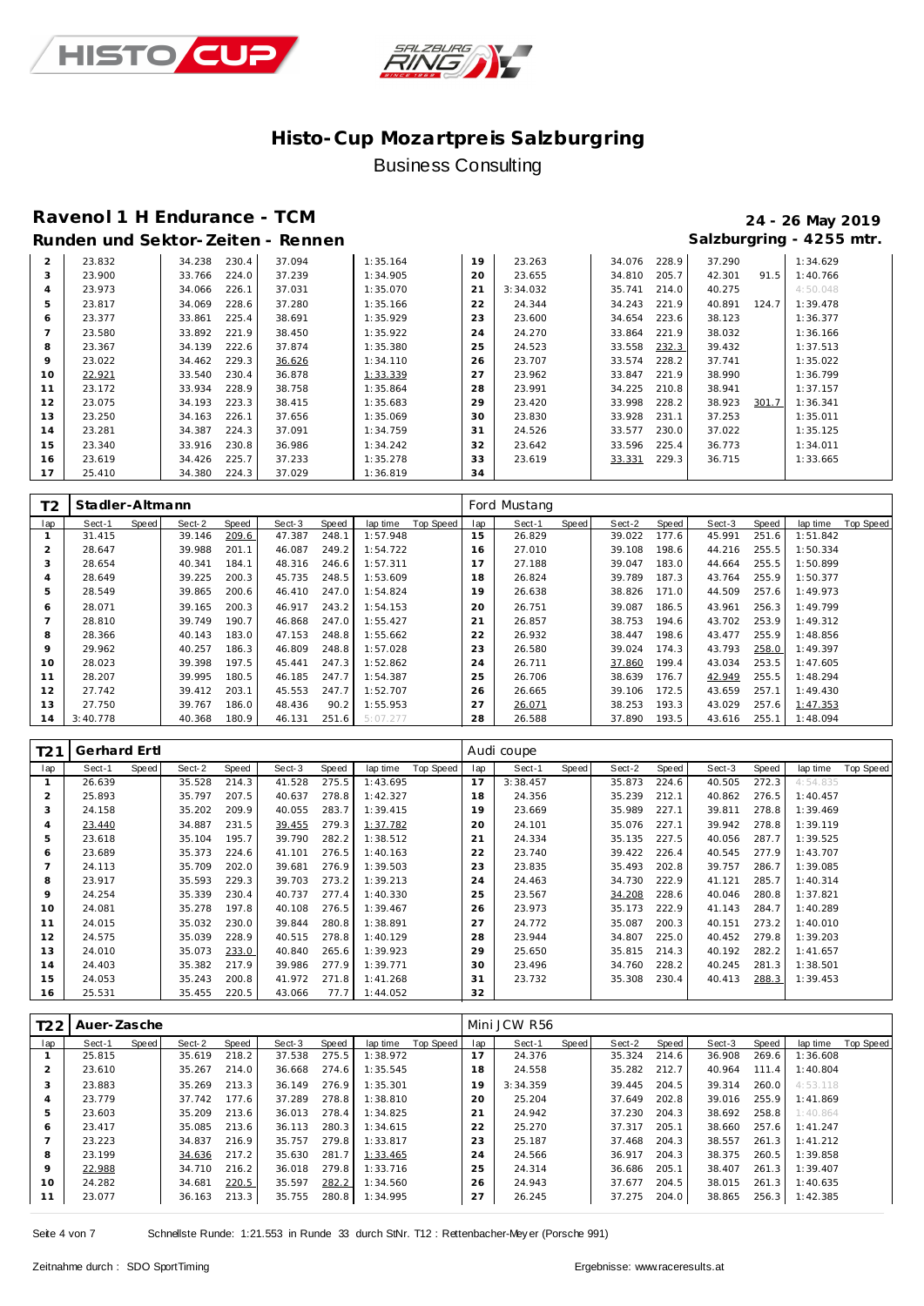



### **Ravenol 1 H Endurance - TCM 24 - 26 May 2019** Runden und Sektor-Zeiten - Rennen **Salzburgring - 4255 mtr.** Salzburgring - 4255 mtr.

| 2              | 23.832 | 230.4<br>34.238 | 37.094 | 1:35.164 | 19 | 23.263   | 34.076 | 228.9 | 37.290 |       | 1:34.629 |
|----------------|--------|-----------------|--------|----------|----|----------|--------|-------|--------|-------|----------|
| 3              | 23.900 | 224.0<br>33.766 | 37.239 | 1:34.905 | 20 | 23.655   | 34.810 | 205.7 | 42.301 | 91.5  | 1:40.766 |
| $\overline{4}$ | 23.973 | 226.1<br>34.066 | 37.031 | 1:35.070 | 21 | 3:34.032 | 35.741 | 214.0 | 40.275 |       | 4:50.048 |
| 5              | 23.817 | 228.6<br>34.069 | 37.280 | 1:35.166 | 22 | 24.344   | 34.243 | 221.9 | 40.891 | 124.7 | 1:39.478 |
| 6              | 23.377 | 33.861<br>225.4 | 38.691 | 1:35.929 | 23 | 23.600   | 34.654 | 223.6 | 38.123 |       | 1:36.377 |
|                | 23.580 | 221.9<br>33.892 | 38.450 | 1:35.922 | 24 | 24.270   | 33.864 | 221.9 | 38.032 |       | 1:36.166 |
| 8              | 23.367 | 222.6<br>34.139 | 37.874 | 1:35.380 | 25 | 24.523   | 33.558 | 232.3 | 39.432 |       | 1:37.513 |
| $\circ$        | 23.022 | 229.3<br>34.462 | 36.626 | 1:34.110 | 26 | 23.707   | 33.574 | 228.2 | 37.741 |       | 1:35.022 |
| 10             | 22.921 | 33.540<br>230.4 | 36.878 | 1:33.339 | 27 | 23.962   | 33.847 | 221.9 | 38.990 |       | 1:36.799 |
| 11             | 23.172 | 228.9<br>33.934 | 38.758 | 1:35.864 | 28 | 23.991   | 34.225 | 210.8 | 38.941 |       | 1:37.157 |
| 12             | 23.075 | 223.3<br>34.193 | 38.415 | 1:35.683 | 29 | 23.420   | 33.998 | 228.2 | 38.923 | 301.7 | 1:36.341 |
| 13             | 23.250 | 226.1<br>34.163 | 37.656 | 1:35.069 | 30 | 23.830   | 33.928 | 231.1 | 37.253 |       | 1:35.011 |
| 14             | 23.281 | 34.387<br>224.3 | 37.091 | 1:34.759 | 31 | 24.526   | 33.577 | 230.0 | 37.022 |       | 1:35.125 |
| 15             | 23.340 | 33.916<br>230.8 | 36.986 | 1:34.242 | 32 | 23.642   | 33.596 | 225.4 | 36.773 |       | 1:34.011 |
| 16             | 23.619 | 225.7<br>34.426 | 37.233 | 1:35.278 | 33 | 23.619   | 33.331 | 229.3 | 36.715 |       | 1:33.665 |
| -17            | 25.410 | 224.3<br>34.380 | 37.029 | 1:36.819 | 34 |          |        |       |        |       |          |

| T <sub>2</sub> | Stadler-Altmann |       |        |       |        |       |                       |     | Ford Mustang |       |        |       |        |              |          |           |
|----------------|-----------------|-------|--------|-------|--------|-------|-----------------------|-----|--------------|-------|--------|-------|--------|--------------|----------|-----------|
| lap            | Sect-1          | Speed | Sect-2 | Speed | Sect-3 | Speed | Top Speed<br>lap time | lap | Sect-1       | Speed | Sect-2 | Speed | Sect-3 | <b>Speed</b> | lap time | Top Speed |
|                | 31.415          |       | 39.146 | 209.6 | 47.387 | 248.1 | 1:57.948              | 15  | 26.829       |       | 39.022 | 177.6 | 45.991 | 251.6        | 1:51.842 |           |
| $\overline{2}$ | 28.647          |       | 39.988 | 201.1 | 46.087 | 249.2 | 1:54.722              | 16  | 27.010       |       | 39.108 | 198.6 | 44.216 | 255.5        | 1:50.334 |           |
| 3              | 28.654          |       | 40.341 | 184.1 | 48.316 | 246.6 | 1:57.311              | 17  | 27.188       |       | 39.047 | 183.0 | 44.664 | 255.5        | 1:50.899 |           |
| 4              | 28.649          |       | 39.225 | 200.3 | 45.735 | 248.5 | 1:53.609              | 18  | 26.824       |       | 39.789 | 187.3 | 43.764 | 255.9        | 1:50.377 |           |
| 5              | 28.549          |       | 39.865 | 200.6 | 46.410 | 247.0 | 1:54.824              | 19  | 26.638       |       | 38.826 | 171.0 | 44.509 | 257.6        | 1:49.973 |           |
| 6              | 28.071          |       | 39.165 | 200.3 | 46.917 | 243.2 | 1:54.153              | 20  | 26.751       |       | 39.087 | 186.5 | 43.961 | 256.3        | 1:49.799 |           |
|                | 28.810          |       | 39.749 | 190.7 | 46.868 | 247.0 | 1:55.427              | 21  | 26.857       |       | 38.753 | 194.6 | 43.702 | 253.9        | 1:49.312 |           |
| 8              | 28.366          |       | 40.143 | 183.0 | 47.153 | 248.8 | 1:55.662              | 22  | 26.932       |       | 38.447 | 198.6 | 43.477 | 255.9        | 1:48.856 |           |
| 9              | 29.962          |       | 40.257 | 186.3 | 46.809 | 248.8 | 1:57.028              | 23  | 26.580       |       | 39.024 | 174.3 | 43.793 | 258.0        | 1:49.397 |           |
| 10             | 28.023          |       | 39.398 | 197.5 | 45.441 | 247.3 | 1:52.862              | 24  | 26.711       |       | 37.860 | 199.4 | 43.034 | 253.5        | 1:47.605 |           |
| 11             | 28.207          |       | 39.995 | 180.5 | 46.185 | 247.7 | 1:54.387              | 25  | 26.706       |       | 38.639 | 176.7 | 42.949 | 255.5        | 1:48.294 |           |
| 12             | 27.742          |       | 39.412 | 203.1 | 45.553 | 247.7 | 1:52.707              | 26  | 26.665       |       | 39.106 | 172.5 | 43.659 | 257.1        | 1:49.430 |           |
| 13             | 27.750          |       | 39.767 | 186.0 | 48.436 | 90.2  | 1:55.953              | 27  | 26.071       |       | 38.253 | 193.3 | 43.029 | 257.6        | 1:47.353 |           |
| 14             | 3:40.778        |       | 40.368 | 180.9 | 46.131 | 251.6 | 5:07.277              | 28  | 26.588       |       | 37.890 | 193.5 | 43.616 | 255.1        | 1:48.094 |           |

| T21            | Gerhard Ertl |       |        |       |        |       |          |           |     | Audi coupe |       |        |       |        |       |          |                  |
|----------------|--------------|-------|--------|-------|--------|-------|----------|-----------|-----|------------|-------|--------|-------|--------|-------|----------|------------------|
| lap            | Sect-1       | Speed | Sect-2 | Speed | Sect-3 | Speed | lap time | Top Speed | lap | Sect-1     | Speed | Sect-2 | Speed | Sect-3 | Speed | lap time | <b>Top Speed</b> |
| $\mathbf{1}$   | 26.639       |       | 35.528 | 214.3 | 41.528 | 275.5 | 1:43.695 |           | 17  | 3:38.457   |       | 35.873 | 224.6 | 40.505 | 272.3 | 4:54.835 |                  |
| $\overline{2}$ | 25.893       |       | 35.797 | 207.5 | 40.637 | 278.8 | 1:42.327 |           | 18  | 24.356     |       | 35.239 | 212.1 | 40.862 | 276.5 | 1:40.457 |                  |
| 3              | 24.158       |       | 35.202 | 209.9 | 40.055 | 283.7 | 1:39.415 |           | 19  | 23.669     |       | 35.989 | 227.1 | 39.811 | 278.8 | 1:39.469 |                  |
| 4              | 23.440       |       | 34.887 | 231.5 | 39.455 | 279.3 | 1:37.782 |           | 20  | 24.101     |       | 35.076 | 227.1 | 39.942 | 278.8 | 1:39.119 |                  |
| 5              | 23.618       |       | 35.104 | 195.7 | 39.790 | 282.2 | 1:38.512 |           | 21  | 24.334     |       | 35.135 | 227.5 | 40.056 | 287.7 | 1:39.525 |                  |
| 6              | 23.689       |       | 35.373 | 224.6 | 41.101 | 276.5 | 1:40.163 |           | 22  | 23.740     |       | 39.422 | 226.4 | 40.545 | 277.9 | 1:43.707 |                  |
|                | 24.113       |       | 35.709 | 202.0 | 39.681 | 276.9 | 1:39.503 |           | 23  | 23.835     |       | 35.493 | 202.8 | 39.757 | 286.7 | 1:39.085 |                  |
| 8              | 23.917       |       | 35.593 | 229.3 | 39.703 | 273.2 | 1:39.213 |           | 24  | 24.463     |       | 34.730 | 222.9 | 41.121 | 285.7 | 1:40.314 |                  |
| $\circ$        | 24.254       |       | 35.339 | 230.4 | 40.737 | 277.4 | 1:40.330 |           | 25  | 23.567     |       | 34.208 | 228.6 | 40.046 | 280.8 | 1:37.821 |                  |
| 10             | 24.081       |       | 35.278 | 197.8 | 40.108 | 276.5 | 1:39.467 |           | 26  | 23.973     |       | 35.173 | 222.9 | 41.143 | 284.7 | 1:40.289 |                  |
| 11             | 24.015       |       | 35.032 | 230.0 | 39.844 | 280.8 | 1:38.891 |           | 27  | 24.772     |       | 35.087 | 200.3 | 40.151 | 273.2 | 1:40.010 |                  |
| 12             | 24.575       |       | 35.039 | 228.9 | 40.515 | 278.8 | 1:40.129 |           | 28  | 23.944     |       | 34.807 | 225.0 | 40.452 | 279.8 | 1:39.203 |                  |
| 13             | 24.010       |       | 35.073 | 233.0 | 40.840 | 265.6 | 1:39.923 |           | 29  | 25.650     |       | 35.815 | 214.3 | 40.192 | 282.2 | 1:41.657 |                  |
| 14             | 24.403       |       | 35.382 | 217.9 | 39.986 | 277.9 | 1:39.771 |           | 30  | 23.496     |       | 34.760 | 228.2 | 40.245 | 281.3 | 1:38.501 |                  |
| 15             | 24.053       |       | 35.243 | 200.8 | 41.972 | 271.8 | 1:41.268 |           | 31  | 23.732     |       | 35.308 | 230.4 | 40.413 | 288.3 | 1:39.453 |                  |
| 16             | 25.531       |       | 35.455 | 220.5 | 43.066 | 77.7  | 1:44.052 |           | 32  |            |       |        |       |        |       |          |                  |

| T22     | Auer-Zasche |       |        |       |        |       |          |           |     | Mini JCW R56 |       |        |       |        |       |          |           |
|---------|-------------|-------|--------|-------|--------|-------|----------|-----------|-----|--------------|-------|--------|-------|--------|-------|----------|-----------|
| lap     | Sect-1      | Speed | Sect-2 | Speed | Sect-3 | Speed | lap time | Top Speed | lap | Sect-1       | Speed | Sect-2 | Speed | Sect-3 | Speed | lap time | Top Speed |
|         | 25.815      |       | 35.619 | 218.2 | 37.538 | 275.5 | 1:38.972 |           | 17  | 24.376       |       | 35.324 | 214.6 | 36.908 | 269.6 | 1:36.608 |           |
|         | 23.610      |       | 35.267 | 214.0 | 36.668 | 274.6 | 1:35.545 |           | 18  | 24.558       |       | 35.282 | 212.7 | 40.964 | 111.4 | 1:40.804 |           |
| 3       | 23.883      |       | 35.269 | 213.3 | 36.149 | 276.9 | 1:35.301 |           | 19  | 3:34.359     |       | 39.445 | 204.5 | 39.314 | 260.0 | 4:53.118 |           |
| 4       | 23.779      |       | 37.742 | 177.6 | 37.289 | 278.8 | 1:38.810 |           | 20  | 25.204       |       | 37.649 | 202.8 | 39.016 | 255.9 | 1:41.869 |           |
| 5       | 23.603      |       | 35.209 | 213.6 | 36.013 | 278.4 | 1:34.825 |           | 21  | 24.942       |       | 37.230 | 204.3 | 38.692 | 258.8 | 1:40.864 |           |
| 6       | 23.417      |       | 35.085 | 213.6 | 36.113 | 280.3 | 1:34.615 |           | 22  | 25.270       |       | 37.317 | 205.1 | 38.660 | 257.6 | 1:41.247 |           |
|         | 23.223      |       | 34.837 | 216.9 | 35.757 | 279.8 | 1:33.817 |           | 23  | 25.187       |       | 37.468 | 204.3 | 38.557 | 261.3 | 1:41.212 |           |
| 8       | 23.199      |       | 34.636 | 217.2 | 35.630 | 281.7 | 1:33.465 |           | 24  | 24.566       |       | 36.917 | 204.3 | 38.375 | 260.5 | 1:39.858 |           |
| $\circ$ | 22.988      |       | 34.710 | 216.2 | 36.018 | 279.8 | 1:33.716 |           | 25  | 24.314       |       | 36.686 | 205.1 | 38.407 | 261.3 | 1:39.407 |           |
| 10      | 24.282      |       | 34.681 | 220.5 | 35.597 | 282.2 | 1:34.560 |           | 26  | 24.943       |       | 37.677 | 204.5 | 38.015 | 261.3 | 1:40.635 |           |
|         | 23.077      |       | 36.163 | 213.3 | 35.755 | 280.8 | 1:34.995 |           | 27  | 26.245       |       | 37.275 | 204.0 | 38.865 | 256.3 | 1:42.385 |           |

Seite 4 von 7 Schnellste Runde: 1:21.553 in Runde 33 durch StNr. T12 : Rettenbacher-Mey er (Porsche 991)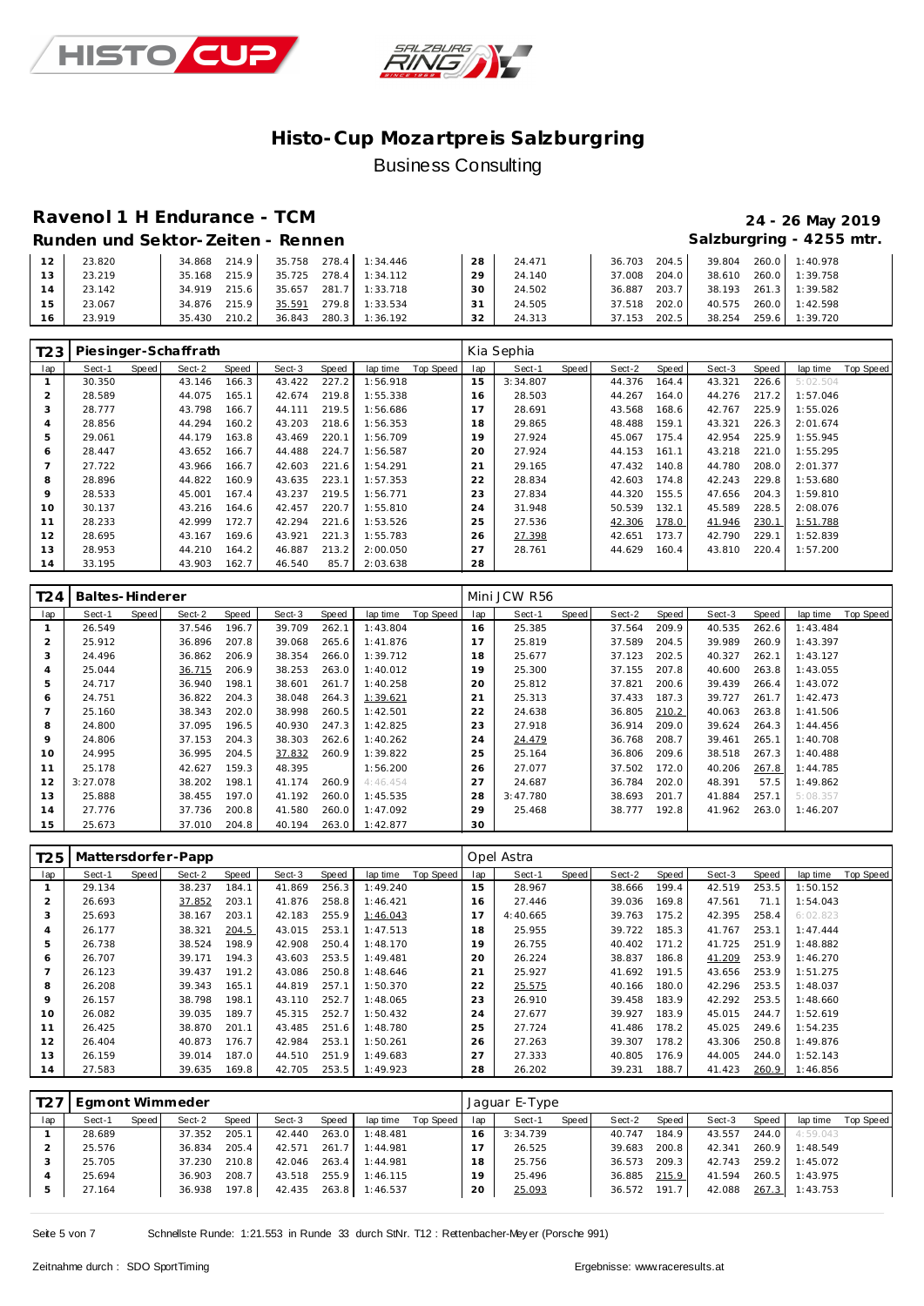



# **Ravenol 1 H Endurance - TCM 24 - 26 May 2019**

#### **Runden und Sektor-Zeiten - Rennen Salzburgring - 4255 mtr.**

| 1つ | 23.820 | 214.9<br>34.868  | 278.4<br>35.758 | 1:34.446       | 28 | 24.471 | 36.703<br>204.5 | 39.804<br>260.0                  | 1:40.978 |
|----|--------|------------------|-----------------|----------------|----|--------|-----------------|----------------------------------|----------|
|    | 23.219 | 215.9<br>35.168  | 278.4<br>35.725 | 1:34.112       | 20 | 24.140 | 37.008<br>204.0 | 260.0<br>38.610                  | 1:39.758 |
|    | 23.142 | 215.61<br>34.919 | 35.657<br>281.7 | 1:33.718       | 30 | 24.502 | 36.887<br>203.7 | $261.3$ $\blacksquare$<br>38.193 | 1:39.582 |
| E  | 23.067 | 215.9<br>34.876  | 35.591          | 279.8 1:33.534 | 21 | 24.505 | 202.0<br>37.518 | 260.0<br>40.575                  | 1:42.598 |
|    | 23.919 | 210.2<br>35.430  | 280.3<br>36.843 | 1:36.192       | っつ | 24.313 | 202.5<br>37.153 | 259.6<br>38.254                  | 1:39.720 |

| T <sub>23</sub> |        |       | Piesinger-Schaffrath |       |        |       |          |           |     | Kia Sephia |       |        |       |        |       |          |           |
|-----------------|--------|-------|----------------------|-------|--------|-------|----------|-----------|-----|------------|-------|--------|-------|--------|-------|----------|-----------|
| lap             | Sect-1 | Speed | Sect-2               | Speed | Sect-3 | Speed | lap time | Top Speed | lap | Sect-1     | Speed | Sect-2 | Speed | Sect-3 | Speed | lap time | Top Speed |
|                 | 30.350 |       | 43.146               | 166.3 | 43.422 | 227.2 | 1:56.918 |           | 15  | 3:34.807   |       | 44.376 | 164.4 | 43.321 | 226.6 | 5:02.504 |           |
| 2               | 28.589 |       | 44.075               | 165.1 | 42.674 | 219.8 | 1:55.338 |           | 16  | 28.503     |       | 44.267 | 164.0 | 44.276 | 217.2 | 1:57.046 |           |
| 3               | 28.777 |       | 43.798               | 166.7 | 44.111 | 219.5 | 1:56.686 |           | 17  | 28.691     |       | 43.568 | 168.6 | 42.767 | 225.9 | 1:55.026 |           |
| $\overline{4}$  | 28.856 |       | 44.294               | 160.2 | 43.203 | 218.6 | 1:56.353 |           | 18  | 29.865     |       | 48.488 | 159.1 | 43.321 | 226.3 | 2:01.674 |           |
| 5               | 29.061 |       | 44.179               | 163.8 | 43.469 | 220.1 | 1:56.709 |           | 19  | 27.924     |       | 45.067 | 175.4 | 42.954 | 225.9 | 1:55.945 |           |
| 6               | 28.447 |       | 43.652               | 166.7 | 44.488 | 224.7 | 1:56.587 |           | 20  | 27.924     |       | 44.153 | 161.1 | 43.218 | 221.0 | 1:55.295 |           |
|                 | 27.722 |       | 43.966               | 166.7 | 42.603 | 221.6 | 1:54.291 |           | 21  | 29.165     |       | 47.432 | 140.8 | 44.780 | 208.0 | 2:01.377 |           |
| 8               | 28.896 |       | 44.822               | 160.9 | 43.635 | 223.1 | 1:57.353 |           | 22  | 28.834     |       | 42.603 | 174.8 | 42.243 | 229.8 | 1:53.680 |           |
| 9               | 28.533 |       | 45.001               | 167.4 | 43.237 | 219.5 | 1:56.771 |           | 23  | 27.834     |       | 44.320 | 155.5 | 47.656 | 204.3 | 1:59.810 |           |
| 10              | 30.137 |       | 43.216               | 164.6 | 42.457 | 220.7 | 1:55.810 |           | 24  | 31.948     |       | 50.539 | 132.1 | 45.589 | 228.5 | 2:08.076 |           |
| 11              | 28.233 |       | 42.999               | 172.7 | 42.294 | 221.6 | 1:53.526 |           | 25  | 27.536     |       | 42.306 | 178.0 | 41.946 | 230.1 | 1:51.788 |           |
| 12              | 28.695 |       | 43.167               | 169.6 | 43.921 | 221.3 | 1:55.783 |           | 26  | 27.398     |       | 42.651 | 173.7 | 42.790 | 229.1 | 1:52.839 |           |
| 13              | 28.953 |       | 44.210               | 164.2 | 46.887 | 213.2 | 2:00.050 |           | 27  | 28.761     |       | 44.629 | 160.4 | 43.810 | 220.4 | 1:57.200 |           |
| 14              | 33.195 |       | 43.903               | 162.7 | 46.540 | 85.7  | 2:03.638 |           | 28  |            |       |        |       |        |       |          |           |

| T24            | Baltes-Hinderer |       |        |       |        |       |          |           |     | Mini JCW R56 |       |        |       |        |       |          |           |
|----------------|-----------------|-------|--------|-------|--------|-------|----------|-----------|-----|--------------|-------|--------|-------|--------|-------|----------|-----------|
| lap            | Sect-1          | Speed | Sect-2 | Speed | Sect-3 | Speed | lap time | Top Speed | lap | Sect-1       | Speed | Sect-2 | Speed | Sect-3 | Speed | lap time | Top Speed |
|                | 26.549          |       | 37.546 | 196.7 | 39.709 | 262.  | 1:43.804 |           | 16  | 25.385       |       | 37.564 | 209.9 | 40.535 | 262.6 | 1:43.484 |           |
| 2              | 25.912          |       | 36.896 | 207.8 | 39.068 | 265.6 | 1:41.876 |           |     | 25.819       |       | 37.589 | 204.5 | 39.989 | 260.9 | 1:43.397 |           |
| 3              | 24.496          |       | 36.862 | 206.9 | 38.354 | 266.0 | 1:39.712 |           | 18  | 25.677       |       | 37.123 | 202.5 | 40.327 | 262.1 | 1:43.127 |           |
| 4              | 25.044          |       | 36.715 | 206.9 | 38.253 | 263.0 | 1:40.012 |           | 19  | 25.300       |       | 37.155 | 207.8 | 40.600 | 263.8 | 1:43.055 |           |
| 5              | 24.717          |       | 36.940 | 198.1 | 38.601 | 261.7 | 1:40.258 |           | 20  | 25.812       |       | 37.821 | 200.6 | 39.439 | 266.4 | 1:43.072 |           |
| 6              | 24.751          |       | 36.822 | 204.3 | 38.048 | 264.3 | 1:39.621 |           | 21  | 25.313       |       | 37.433 | 187.3 | 39.727 | 261.7 | 1:42.473 |           |
| $\overline{7}$ | 25.160          |       | 38.343 | 202.0 | 38.998 | 260.5 | 1:42.501 |           | 22  | 24.638       |       | 36.805 | 210.2 | 40.063 | 263.8 | 1:41.506 |           |
| 8              | 24.800          |       | 37.095 | 196.5 | 40.930 | 247.3 | 1:42.825 |           | 23  | 27.918       |       | 36.914 | 209.0 | 39.624 | 264.3 | 1:44.456 |           |
| 9              | 24.806          |       | 37.153 | 204.3 | 38.303 | 262.6 | 1:40.262 |           | 24  | 24.479       |       | 36.768 | 208.7 | 39.461 | 265.1 | 1:40.708 |           |
| 10             | 24.995          |       | 36.995 | 204.5 | 37.832 | 260.9 | 1:39.822 |           | 25  | 25.164       |       | 36.806 | 209.6 | 38.518 | 267.3 | 1:40.488 |           |
| 11             | 25.178          |       | 42.627 | 159.3 | 48.395 |       | 1:56.200 |           | 26  | 27.077       |       | 37.502 | 172.0 | 40.206 | 267.8 | 1:44.785 |           |
| 12             | 3:27.078        |       | 38.202 | 198.1 | 41.174 | 260.9 | 4:46.454 |           | 27  | 24.687       |       | 36.784 | 202.0 | 48.391 | 57.5  | 1:49.862 |           |
| 13             | 25.888          |       | 38.455 | 197.0 | 41.192 | 260.0 | 1:45.535 |           | 28  | 3:47.780     |       | 38.693 | 201.7 | 41.884 | 257.1 | 5:08.357 |           |
| 14             | 27.776          |       | 37.736 | 200.8 | 41.580 | 260.0 | 1:47.092 |           | 29  | 25.468       |       | 38.777 | 192.8 | 41.962 | 263.0 | 1:46.207 |           |
| 15             | 25.673          |       | 37.010 | 204.8 | 40.194 | 263.0 | 1:42.877 |           | 30  |              |       |        |       |        |       |          |           |

| T <sub>2</sub> 5 |        |       | Mattersdorfer-Papp |       |        |       |          |           |     | Opel Astra |       |        |       |        |       |          |           |
|------------------|--------|-------|--------------------|-------|--------|-------|----------|-----------|-----|------------|-------|--------|-------|--------|-------|----------|-----------|
| lap              | Sect-1 | Speed | Sect-2             | Speed | Sect-3 | Speed | lap time | Top Speed | lap | Sect-1     | Speed | Sect-2 | Speed | Sect-3 | Speed | lap time | Top Speed |
|                  | 29.134 |       | 38.237             | 184.1 | 41.869 | 256.3 | 1:49.240 |           | 15  | 28.967     |       | 38.666 | 199.4 | 42.519 | 253.5 | 1:50.152 |           |
| $\overline{2}$   | 26.693 |       | 37.852             | 203.1 | 41.876 | 258.8 | 1:46.421 |           | 16  | 27.446     |       | 39.036 | 169.8 | 47.561 | 71.1  | 1:54.043 |           |
| 3                | 25.693 |       | 38.167             | 203.1 | 42.183 | 255.9 | 1:46.043 |           |     | 4:40.665   |       | 39.763 | 175.2 | 42.395 | 258.4 | 6:02.823 |           |
| 4                | 26.177 |       | 38.321             | 204.5 | 43.015 | 253.1 | 1:47.513 |           | 18  | 25.955     |       | 39.722 | 185.3 | 41.767 | 253.1 | 1:47.444 |           |
| 5                | 26.738 |       | 38.524             | 198.9 | 42.908 | 250.4 | 1:48.170 |           | 19  | 26.755     |       | 40.402 | 171.2 | 41.725 | 251.9 | 1:48.882 |           |
| 6                | 26.707 |       | 39.171             | 194.3 | 43.603 | 253.5 | 1:49.481 |           | 20  | 26.224     |       | 38.837 | 186.8 | 41.209 | 253.9 | 1:46.270 |           |
|                  | 26.123 |       | 39.437             | 191.2 | 43.086 | 250.8 | 1:48.646 |           | 21  | 25.927     |       | 41.692 | 191.5 | 43.656 | 253.9 | 1:51.275 |           |
| 8                | 26.208 |       | 39.343             | 165.1 | 44.819 | 257.1 | 1:50.370 |           | 22  | 25.575     |       | 40.166 | 180.0 | 42.296 | 253.5 | 1:48.037 |           |
| 9                | 26.157 |       | 38.798             | 198.1 | 43.110 | 252.7 | 1:48.065 |           | 23  | 26.910     |       | 39.458 | 183.9 | 42.292 | 253.5 | 1:48.660 |           |
| 10               | 26.082 |       | 39.035             | 189.7 | 45.315 | 252.7 | 1:50.432 |           | 24  | 27.677     |       | 39.927 | 183.9 | 45.015 | 244.7 | 1:52.619 |           |
| 11               | 26.425 |       | 38.870             | 201.1 | 43.485 | 251.6 | 1:48.780 |           | 25  | 27.724     |       | 41.486 | 178.2 | 45.025 | 249.6 | 1:54.235 |           |
| 12               | 26.404 |       | 40.873             | 176.7 | 42.984 | 253.1 | 1:50.261 |           | 26  | 27.263     |       | 39.307 | 178.2 | 43.306 | 250.8 | 1:49.876 |           |
| 13               | 26.159 |       | 39.014             | 187.0 | 44.510 | 251.9 | 1:49.683 |           | 27  | 27.333     |       | 40.805 | 176.9 | 44.005 | 244.0 | 1:52.143 |           |
| 14               | 27.583 |       | 39.635             | 169.8 | 42.705 | 253.5 | 1:49.923 |           | 28  | 26.202     |       | 39.231 | 188.7 | 41.423 | 260.9 | 1:46.856 |           |

| T27 | Egmont Wimmeder |       |        |       |        |       |          |           |     | Jaquar E-Type |       |        |       |        |       |          |           |
|-----|-----------------|-------|--------|-------|--------|-------|----------|-----------|-----|---------------|-------|--------|-------|--------|-------|----------|-----------|
| lap | Sect-1          | Speed | Sect-2 | Speed | Sect-3 | Speed | lap time | Top Speed | lap | Sect-1        | Speed | Sect-2 | Speed | Sect-3 | Speed | lap time | Top Speed |
|     | 28.689          |       | 37.352 | 205.1 | 42.440 | 263.0 | 1:48.481 |           | 16  | 3:34.739      |       | 40.747 | 184.9 | 43.557 | 244.0 | 4:59.043 |           |
|     | 25.576          |       | 36.834 | 205.4 | 42.571 | 261.7 | 1:44.981 |           |     | 26.525        |       | 39.683 | 200.8 | 42.341 | 260.9 | 1:48.549 |           |
|     | 25.705          |       | 37.230 | 210.8 | 42.046 | 263.4 | 1:44.981 |           | 18  | 25.756        |       | 36.573 | 209.3 | 42.743 | 259.2 | 1:45.072 |           |
|     | 25.694          |       | 36.903 | 208.7 | 43.518 | 255.9 | 1:46.115 |           | 19  | 25.496        |       | 36.885 | 215.9 | 41.594 | 260.5 | 1:43.975 |           |
| -5  | 27.164          |       | 36.938 | 197.8 | 42.435 | 263.8 | 1:46.537 |           | 20  | 25.093        |       | 36.572 | 191.7 | 42.088 | 267.3 | 1:43.753 |           |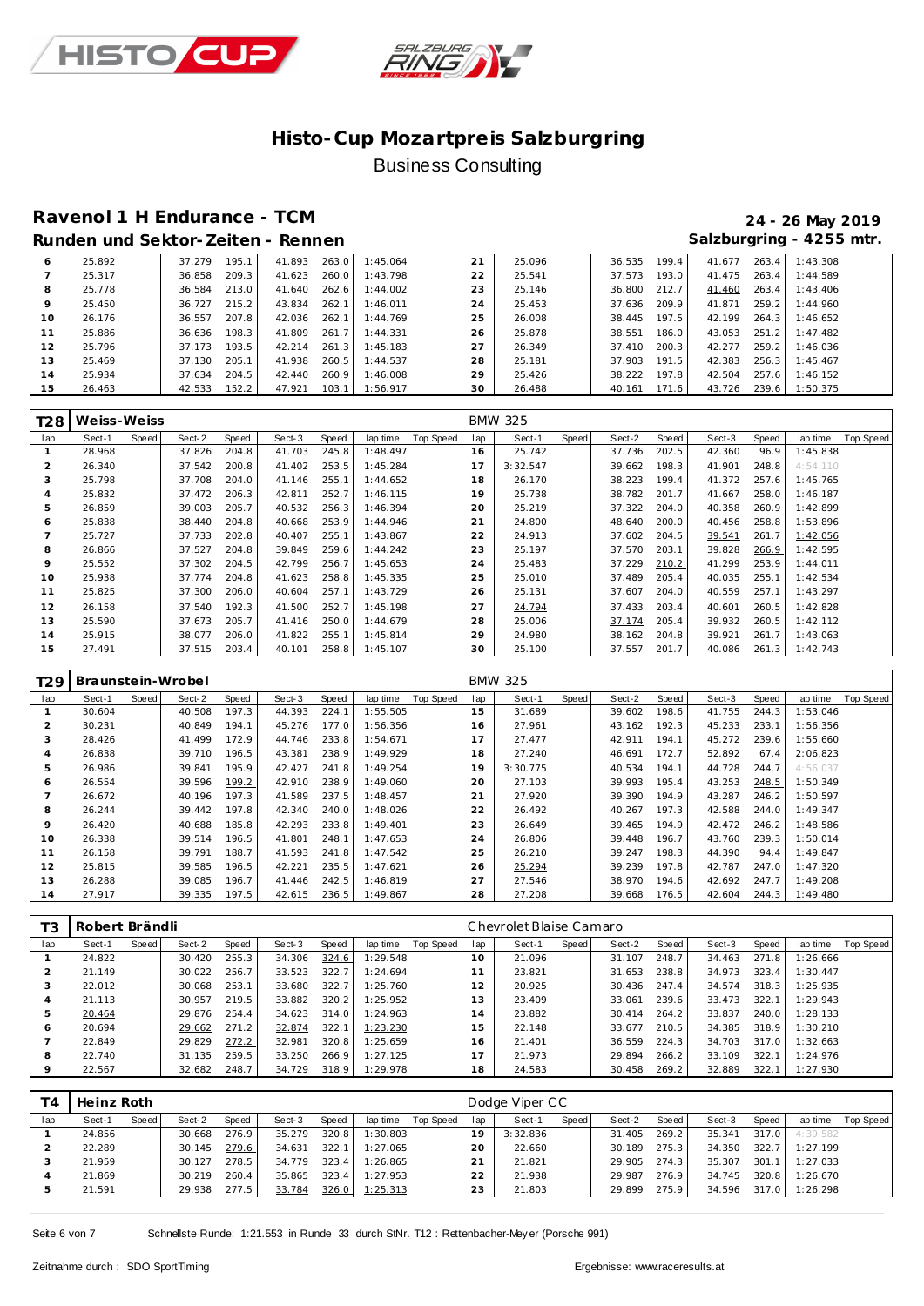



### **Ravenol 1 H Endurance - TCM 24 - 26 May 2019 Runden und Sektor-Zeiten - Rennen Salzburgring - 4255 mtr.**

| 6       | 25.892 | 195.1<br>37.279 | 41.893 | 263.0<br>1:45.064 | 21 | 25.096 | 36.535 | 199.4 | 41.677 | 263.4 | 1:43.308 |
|---------|--------|-----------------|--------|-------------------|----|--------|--------|-------|--------|-------|----------|
|         | 25.317 | 209.3<br>36.858 | 41.623 | 260.0<br>1:43.798 | 22 | 25.541 | 37.573 | 193.0 | 41.475 | 263.4 | 1:44.589 |
| 8       | 25.778 | 213.0<br>36.584 | 41.640 | 262.6<br>1:44.002 | 23 | 25.146 | 36.800 | 212.7 | 41.460 | 263.4 | 1:43.406 |
| $\circ$ | 25.450 | 215.2<br>36.727 | 43.834 | 262.7<br>1:46.011 | 24 | 25.453 | 37.636 | 209.9 | 41.871 | 259.2 | 1:44.960 |
| 10      | 26.176 | 207.8<br>36.557 | 42.036 | 262.1<br>1:44.769 | 25 | 26.008 | 38.445 | 197.5 | 42.199 | 264.3 | 1:46.652 |
|         | 25.886 | 198.3<br>36.636 | 41.809 | 261.7<br>1:44.331 | 26 | 25.878 | 38.551 | 186.0 | 43.053 | 251.2 | 1:47.482 |
| 12      | 25.796 | 193.5<br>37.173 | 42.214 | 1:45.183<br>261.3 | 27 | 26.349 | 37.410 | 200.3 | 42.277 | 259.2 | 1:46.036 |
| 13      | 25.469 | 205.1<br>37.130 | 41.938 | 260.5<br>1:44.537 | 28 | 25.181 | 37.903 | 191.5 | 42.383 | 256.3 | 1:45.467 |
| 14      | 25.934 | 37.634<br>204.5 | 42.440 | 260.9<br>1:46.008 | 29 | 25.426 | 38.222 | 197.8 | 42.504 | 257.6 | 1:46.152 |
| 15      | 26.463 | 152.2<br>42.533 | 47.921 | 1:56.917<br>103.1 | 30 | 26.488 | 40.161 | 171.6 | 43.726 | 239.6 | 1:50.375 |

| T28 | We iss-We iss |       |        |       |        |       |          |           |             | <b>BMW 325</b> |       |        |       |        |       |          |           |
|-----|---------------|-------|--------|-------|--------|-------|----------|-----------|-------------|----------------|-------|--------|-------|--------|-------|----------|-----------|
| lap | Sect-1        | Speed | Sect-2 | Speed | Sect-3 | Speed | lap time | Top Speed | lap         | Sect-1         | Speed | Sect-2 | Speed | Sect-3 | Speed | lap time | Top Speed |
|     | 28.968        |       | 37.826 | 204.8 | 41.703 | 245.8 | 1:48.497 |           | 16          | 25.742         |       | 37.736 | 202.5 | 42.360 | 96.9  | 1:45.838 |           |
| 2   | 26.340        |       | 37.542 | 200.8 | 41.402 | 253.5 | 1:45.284 |           |             | 3:32.547       |       | 39.662 | 198.3 | 41.901 | 248.8 | 4:54.110 |           |
| 3   | 25.798        |       | 37.708 | 204.0 | 41.146 | 255.1 | 1:44.652 |           | 18          | 26.170         |       | 38.223 | 199.4 | 41.372 | 257.6 | 1:45.765 |           |
| 4   | 25.832        |       | 37.472 | 206.3 | 42.811 | 252.7 | 1:46.115 |           | 19          | 25.738         |       | 38.782 | 201.7 | 41.667 | 258.0 | 1:46.187 |           |
| 5   | 26.859        |       | 39.003 | 205.7 | 40.532 | 256.3 | 1:46.394 |           | 20          | 25.219         |       | 37.322 | 204.0 | 40.358 | 260.9 | 1:42.899 |           |
| 6   | 25.838        |       | 38.440 | 204.8 | 40.668 | 253.9 | 1:44.946 |           | $2^{\cdot}$ | 24.800         |       | 48.640 | 200.0 | 40.456 | 258.8 | 1:53.896 |           |
|     | 25.727        |       | 37.733 | 202.8 | 40.407 | 255.1 | 1:43.867 |           | 22          | 24.913         |       | 37.602 | 204.5 | 39.541 | 261.7 | 1:42.056 |           |
| 8   | 26.866        |       | 37.527 | 204.8 | 39.849 | 259.6 | 1:44.242 |           | 23          | 25.197         |       | 37.570 | 203.1 | 39.828 | 266.9 | 1:42.595 |           |
| 9   | 25.552        |       | 37.302 | 204.5 | 42.799 | 256.7 | 1:45.653 |           | 24          | 25.483         |       | 37.229 | 210.2 | 41.299 | 253.9 | 1:44.011 |           |
| 10  | 25.938        |       | 37.774 | 204.8 | 41.623 | 258.8 | 1:45.335 |           | 25          | 25.010         |       | 37.489 | 205.4 | 40.035 | 255.1 | 1:42.534 |           |
| 11  | 25.825        |       | 37.300 | 206.0 | 40.604 | 257.1 | 1:43.729 |           | 26          | 25.131         |       | 37.607 | 204.0 | 40.559 | 257.1 | 1:43.297 |           |
| 12  | 26.158        |       | 37.540 | 192.3 | 41.500 | 252.7 | 1:45.198 |           | 27          | 24.794         |       | 37.433 | 203.4 | 40.601 | 260.5 | 1:42.828 |           |
| 13  | 25.590        |       | 37.673 | 205.7 | 41.416 | 250.0 | 1:44.679 |           | 28          | 25.006         |       | 37.174 | 205.4 | 39.932 | 260.5 | 1:42.112 |           |
| 14  | 25.915        |       | 38.077 | 206.0 | 41.822 | 255.1 | 1:45.814 |           | 29          | 24.980         |       | 38.162 | 204.8 | 39.921 | 261.7 | 1:43.063 |           |
| 15  | 27.491        |       | 37.515 | 203.4 | 40.101 | 258.8 | 1:45.107 |           | 30          | 25.100         |       | 37.557 | 201.7 | 40.086 | 261.3 | 1:42.743 |           |

| T29            | Braunstein-Wrobel |       |        |       |        |       |          |           |     | <b>BMW 325</b> |       |        |       |        |       |          |           |
|----------------|-------------------|-------|--------|-------|--------|-------|----------|-----------|-----|----------------|-------|--------|-------|--------|-------|----------|-----------|
| lap            | Sect-1            | Speed | Sect-2 | Speed | Sect-3 | Speed | lap time | Top Speed | lap | Sect-1         | Speed | Sect-2 | Speed | Sect-3 | Speed | lap time | Top Speed |
|                | 30.604            |       | 40.508 | 197.3 | 44.393 | 224.1 | 1:55.505 |           | 15  | 31.689         |       | 39.602 | 198.6 | 41.755 | 244.3 | 1:53.046 |           |
| $\overline{2}$ | 30.231            |       | 40.849 | 194.1 | 45.276 | 177.0 | 1:56.356 |           | 16  | 27.961         |       | 43.162 | 192.3 | 45.233 | 233.1 | 1:56.356 |           |
| 3              | 28.426            |       | 41.499 | 172.9 | 44.746 | 233.8 | 1:54.671 |           |     | 27.477         |       | 42.911 | 194.1 | 45.272 | 239.6 | 1:55.660 |           |
| 4              | 26.838            |       | 39.710 | 196.5 | 43.381 | 238.9 | 1:49.929 |           | 18  | 27.240         |       | 46.691 | 172.7 | 52.892 | 67.4  | 2:06.823 |           |
| 5              | 26.986            |       | 39.841 | 195.9 | 42.427 | 241.8 | 1:49.254 |           | 19  | 3:30.775       |       | 40.534 | 194.1 | 44.728 | 244.7 | 4:56.037 |           |
| 6              | 26.554            |       | 39.596 | 199.2 | 42.910 | 238.9 | 1:49.060 |           | 20  | 27.103         |       | 39.993 | 195.4 | 43.253 | 248.5 | 1:50.349 |           |
|                | 26.672            |       | 40.196 | 197.3 | 41.589 | 237.5 | 1:48.457 |           | 21  | 27.920         |       | 39.390 | 194.9 | 43.287 | 246.2 | 1:50.597 |           |
| 8              | 26.244            |       | 39.442 | 197.8 | 42.340 | 240.0 | 1:48.026 |           | 22  | 26.492         |       | 40.267 | 197.3 | 42.588 | 244.0 | 1:49.347 |           |
| 9              | 26.420            |       | 40.688 | 185.8 | 42.293 | 233.8 | 1:49.401 |           | 23  | 26.649         |       | 39.465 | 194.9 | 42.472 | 246.2 | 1:48.586 |           |
| 10             | 26.338            |       | 39.514 | 196.5 | 41.801 | 248.1 | 1:47.653 |           | 24  | 26.806         |       | 39.448 | 196.7 | 43.760 | 239.3 | 1:50.014 |           |
| 11             | 26.158            |       | 39.791 | 188.7 | 41.593 | 241.8 | 1:47.542 |           | 25  | 26.210         |       | 39.247 | 198.3 | 44.390 | 94.4  | 1:49.847 |           |
| 12             | 25.815            |       | 39.585 | 196.5 | 42.221 | 235.5 | 1:47.621 |           | 26  | 25.294         |       | 39.239 | 197.8 | 42.787 | 247.0 | 1:47.320 |           |
| 13             | 26.288            |       | 39.085 | 196.7 | 41.446 | 242.5 | 1:46.819 |           | 27  | 27.546         |       | 38.970 | 194.6 | 42.692 | 247.7 | 1:49.208 |           |
| 14             | 27.917            |       | 39.335 | 197.5 | 42.615 | 236.5 | 1:49.867 |           | 28  | 27.208         |       | 39.668 | 176.5 | 42.604 | 244.3 | 1:49.480 |           |

| T <sub>3</sub> | Robert Brändli |       |        |       |        |       |          |           | Chevrolet Blaise Camaro |        |       |        |       |        |       |          |                  |  |
|----------------|----------------|-------|--------|-------|--------|-------|----------|-----------|-------------------------|--------|-------|--------|-------|--------|-------|----------|------------------|--|
| lap            | Sect-1         | Speed | Sect-2 | Speed | Sect-3 | Speed | lap time | Top Speed | lap                     | Sect-1 | Speed | Sect-2 | Speed | Sect-3 | Speed | lap time | <b>Top Speed</b> |  |
|                | 24.822         |       | 30.420 | 255.3 | 34.306 | 324.6 | 1:29.548 |           | $10^{-}$                | 21.096 |       | 31.107 | 248.7 | 34.463 | 271.8 | 1:26.666 |                  |  |
|                | 21.149         |       | 30.022 | 256.7 | 33.523 | 322.7 | 1:24.694 |           |                         | 23.821 |       | 31.653 | 238.8 | 34.973 | 323.4 | 1:30.447 |                  |  |
| -3             | 22.012         |       | 30.068 | 253.1 | 33.680 | 322.7 | 1:25.760 |           | 2                       | 20.925 |       | 30.436 | 247.4 | 34.574 | 318.3 | 1:25.935 |                  |  |
|                | 21.113         |       | 30.957 | 219.5 | 33.882 | 320.2 | 1:25.952 |           | 3                       | 23.409 |       | 33.061 | 239.6 | 33.473 | 322.1 | 1:29.943 |                  |  |
| 5              | 20.464         |       | 29.876 | 254.4 | 34.623 | 314.0 | 1:24.963 |           | $\overline{a}$          | 23.882 |       | 30.414 | 264.2 | 33.837 | 240.0 | 1:28.133 |                  |  |
| 6              | 20.694         |       | 29.662 | 271.2 | 32.874 | 322.1 | 1:23.230 |           | 5                       | 22.148 |       | 33.677 | 210.5 | 34.385 | 318.9 | 1:30.210 |                  |  |
|                | 22.849         |       | 29.829 | 272.2 | 32.981 | 320.8 | 1:25.659 |           | 6                       | 21.401 |       | 36.559 | 224.3 | 34.703 | 317.0 | 1:32.663 |                  |  |
| 8              | 22.740         |       | 31.135 | 259.5 | 33.250 | 266.9 | 1:27.125 |           |                         | 21.973 |       | 29.894 | 266.2 | 33.109 | 322.1 | 1:24.976 |                  |  |
| $\Omega$       | 22.567         |       | 32.682 | 248.7 | 34.729 | 318.9 | 1:29.978 |           | 18                      | 24.583 |       | 30.458 | 269.2 | 32.889 | 322.1 | 1:27.930 |                  |  |

| T4  | Heinz Roth |       |        |       |        |       |          |           |     | Dodge Viper CC |       |        |       |        |       |          |           |
|-----|------------|-------|--------|-------|--------|-------|----------|-----------|-----|----------------|-------|--------|-------|--------|-------|----------|-----------|
| lap | Sect-1     | Speed | Sect-2 | Speed | Sect-3 | Speed | lap time | Top Speed | lap | Sect-1         | Speed | Sect-2 | Speed | Sect-3 | Speed | lap time | Top Speed |
|     | 24.856     |       | 30.668 | 276.9 | 35.279 | 320.8 | 1:30.803 |           | 19  | 3:32.836       |       | 31.405 | 269.2 | 35.341 | 317.0 | 4:39.582 |           |
|     | 22.289     |       | 30.145 | 279.6 | 34.631 | 322.1 | 1:27.065 |           | 20  | 22.660         |       | 30.189 | 275.3 | 34.350 | 322.7 | 1:27.199 |           |
|     | 21.959     |       | 30.127 | 278.5 | 34.779 | 323.4 | 1:26.865 |           | 21  | 21.821         |       | 29.905 | 274.3 | 35.307 | 301.1 | 1:27.033 |           |
|     | 21.869     |       | 30.219 | 260.4 | 35.865 | 323.4 | 1:27.953 |           | 22  | 21.938         |       | 29.987 | 276.9 | 34.745 | 320.8 | 1:26.670 |           |
|     | 21.591     |       | 29.938 | 277.5 | 33.784 | 326.0 | 1:25.313 |           | 23  | 21.803         |       | 29.899 | 275.9 | 34.596 | 317.0 | 1:26.298 |           |

Seite 6 von 7 Schnellste Runde: 1:21.553 in Runde 33 durch StNr. T12 : Rettenbacher-Mey er (Porsche 991)